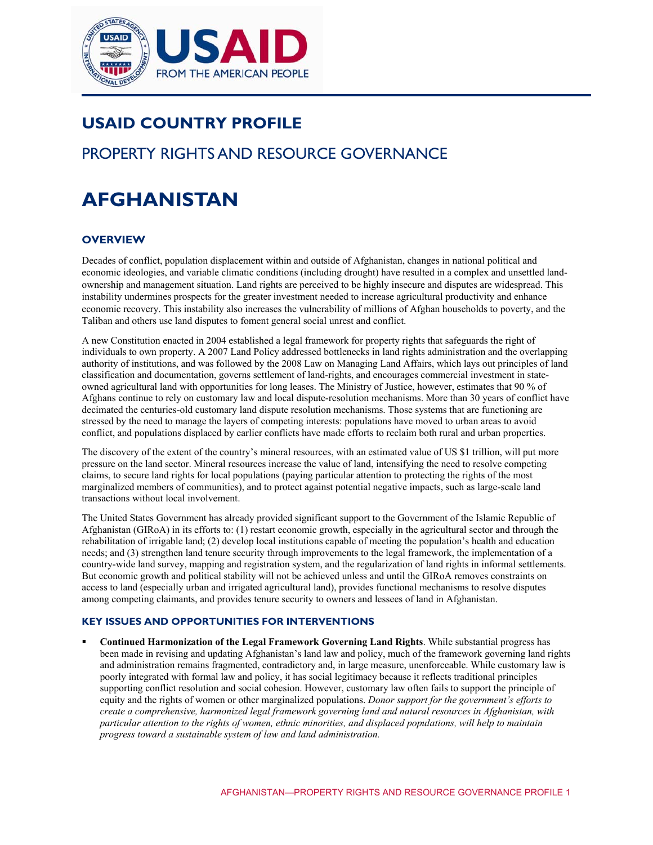

# **USAID COUNTRY PROFILE**

# PROPERTY RIGHTS AND RESOURCE GOVERNANCE

# ${\sf AFGHANISTAN}$

# **OVERVIEW**

Ī

Decades of conflict, population displacement within and outside of Afghanistan, changes in national political and economic ideologies, and variable climatic conditions (including drought) have resulted in a complex and unsettled landownership and management situation. Land rights are perceived to be highly insecure and disputes are widespread. This instability undermines prospects for the greater investment needed to increase agricultural productivity and enhance economic recovery. This instability also increases the vulnerability of millions of Afghan households to poverty, and the Taliban and others use land disputes to foment general social unrest and conflict.

A new Constitution enacted in 2004 established a legal framework for property rights that safeguards the right of individuals to own property. A 2007 Land Policy addressed bottlenecks in land rights administration and the overlapping authority of institutions, and was followed by the 2008 Law on Managing Land Affairs, which lays out principles of land classification and documentation, governs settlement of land-rights, and encourages commercial investment in stateowned agricultural land with opportunities for long leases. The Ministry of Justice, however, estimates that 90 % of Afghans continue to rely on customary law and local dispute-resolution mechanisms. More than 30 years of conflict have decimated the centuries-old customary land dispute resolution mechanisms. Those systems that are functioning are stressed by the need to manage the layers of competing interests: populations have moved to urban areas to avoid conflict, and populations displaced by earlier conflicts have made efforts to reclaim both rural and urban properties.

The discovery of the extent of the country's mineral resources, with an estimated value of US \$1 trillion, will put more pressure on the land sector. Mineral resources increase the value of land, intensifying the need to resolve competing claims, to secure land rights for local populations (paying particular attention to protecting the rights of the most marginalized members of communities), and to protect against potential negative impacts, such as large-scale land transactions without local involvement.

The United States Government has already provided significant support to the Government of the Islamic Republic of Afghanistan (GIRoA) in its efforts to: (1) restart economic growth, especially in the agricultural sector and through the rehabilitation of irrigable land; (2) develop local institutions capable of meeting the population's health and education needs; and (3) strengthen land tenure security through improvements to the legal framework, the implementation of a country-wide land survey, mapping and registration system, and the regularization of land rights in informal settlements. But economic growth and political stability will not be achieved unless and until the GIRoA removes constraints on access to land (especially urban and irrigated agricultural land), provides functional mechanisms to resolve disputes among competing claimants, and provides tenure security to owners and lessees of land in Afghanistan.

#### **KEY ISSUES AND OPPORTUNITIES FOR INTERVENTIONS**

 **Continued Harmonization of the Legal Framework Governing Land Rights**. While substantial progress has been made in revising and updating Afghanistan's land law and policy, much of the framework governing land rights and administration remains fragmented, contradictory and, in large measure, unenforceable. While customary law is poorly integrated with formal law and policy, it has social legitimacy because it reflects traditional principles supporting conflict resolution and social cohesion. However, customary law often fails to support the principle of equity and the rights of women or other marginalized populations. *Donor support for the government's efforts to create a comprehensive, harmonized legal framework governing land and natural resources in Afghanistan, with particular attention to the rights of women, ethnic minorities, and displaced populations, will help to maintain progress toward a sustainable system of law and land administration.*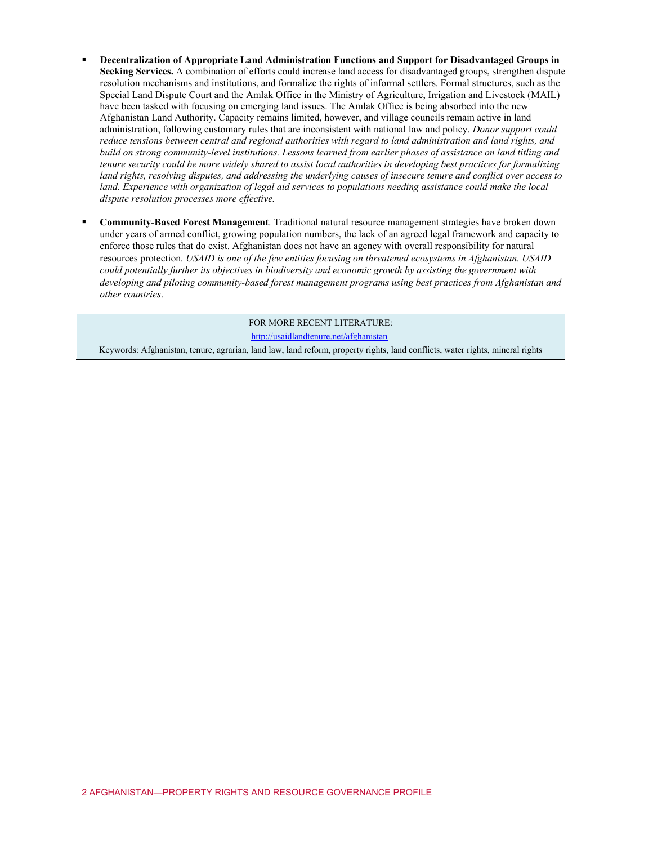- **Decentralization of Appropriate Land Administration Functions and Support for Disadvantaged Groups in Seeking Services.** A combination of efforts could increase land access for disadvantaged groups, strengthen dispute resolution mechanisms and institutions, and formalize the rights of informal settlers. Formal structures, such as the Special Land Dispute Court and the Amlak Office in the Ministry of Agriculture, Irrigation and Livestock (MAIL) have been tasked with focusing on emerging land issues. The Amlak Office is being absorbed into the new Afghanistan Land Authority. Capacity remains limited, however, and village councils remain active in land administration, following customary rules that are inconsistent with national law and policy. *Donor support could reduce tensions between central and regional authorities with regard to land administration and land rights, and build on strong community-level institutions. Lessons learned from earlier phases of assistance on land titling and tenure security could be more widely shared to assist local authorities in developing best practices for formalizing land rights, resolving disputes, and addressing the underlying causes of insecure tenure and conflict over access to land. Experience with organization of legal aid services to populations needing assistance could make the local dispute resolution processes more effective.*
- **Community-Based Forest Management**. Traditional natural resource management strategies have broken down under years of armed conflict, growing population numbers, the lack of an agreed legal framework and capacity to enforce those rules that do exist. Afghanistan does not have an agency with overall responsibility for natural resources protection*. USAID is one of the few entities focusing on threatened ecosystems in Afghanistan. USAID could potentially further its objectives in biodiversity and economic growth by assisting the government with developing and piloting community-based forest management programs using best practices from Afghanistan and other countries*.

FOR MORE RECENT LITERATURE: <http://usaidlandtenure.net/afghanistan> Keywords: Afghanistan, tenure, agrarian, land law, land reform, property rights, land conflicts, water rights, mineral rights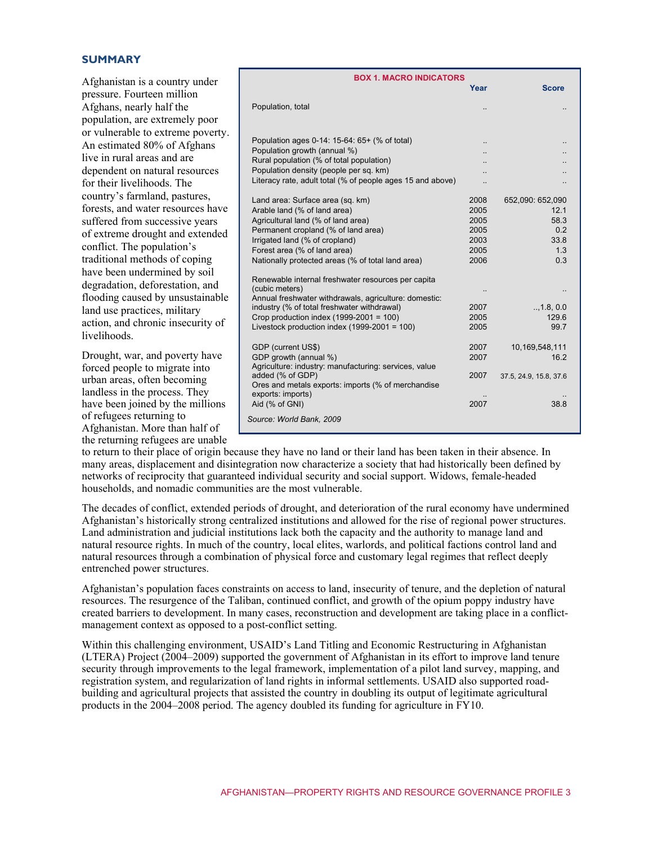#### $SUMMARY$

Afghanistan is a country under pressure. Fourteen million Afghans, nearly half the population, are extremely poor or vulnerable to extreme poverty. An estimated 80% of Afghans live in rural areas and are dependent on natural resources for their livelihoods. The country's farmland, pastures, forests, and water resources have suffered from successive years of extreme drought and extended conflict. The population's traditional methods of coping have been undermined by soil degradation, deforestation, and flooding caused by unsustainable land use practices, military action, and chronic insecurity of livelihoods.

Drought, war, and poverty have forced people to migrate into urban areas, often becoming landless in the process. They have been joined by the millions of refugees returning to Afghanistan. More than half of the returning refugees are unable

| <b>BOX 1. MACRO INDICATORS</b>                             |      |                        |  |  |  |
|------------------------------------------------------------|------|------------------------|--|--|--|
|                                                            | Year | <b>Score</b>           |  |  |  |
| Population, total                                          |      |                        |  |  |  |
|                                                            |      |                        |  |  |  |
| Population ages 0-14: 15-64: 65+ (% of total)              |      |                        |  |  |  |
| Population growth (annual %)                               |      |                        |  |  |  |
| Rural population (% of total population)                   |      |                        |  |  |  |
| Population density (people per sq. km)                     |      |                        |  |  |  |
| Literacy rate, adult total (% of people ages 15 and above) |      |                        |  |  |  |
| Land area: Surface area (sq. km)                           | 2008 | 652,090: 652,090       |  |  |  |
| Arable land (% of land area)                               | 2005 | 12.1                   |  |  |  |
| Agricultural land (% of land area)                         | 2005 | 58.3                   |  |  |  |
| Permanent cropland (% of land area)                        | 2005 | 0.2                    |  |  |  |
| Irrigated land (% of cropland)                             | 2003 | 33.8                   |  |  |  |
| Forest area (% of land area)                               | 2005 | 1.3                    |  |  |  |
| Nationally protected areas (% of total land area)          | 2006 | 0.3                    |  |  |  |
| Renewable internal freshwater resources per capita         |      |                        |  |  |  |
| (cubic meters)                                             |      |                        |  |  |  |
| Annual freshwater withdrawals, agriculture: domestic:      |      |                        |  |  |  |
| industry (% of total freshwater withdrawal)                | 2007 | , 1.8, 0.0             |  |  |  |
| Crop production index $(1999-2001 = 100)$                  | 2005 | 129.6                  |  |  |  |
| Livestock production index $(1999-2001 = 100)$             | 2005 | 99.7                   |  |  |  |
| GDP (current US\$)                                         | 2007 | 10,169,548,111         |  |  |  |
| GDP growth (annual %)                                      | 2007 | 16.2                   |  |  |  |
| Agriculture: industry: manufacturing: services, value      |      |                        |  |  |  |
| added (% of GDP)                                           | 2007 | 37.5, 24.9, 15.8, 37.6 |  |  |  |
| Ores and metals exports: imports (% of merchandise         |      |                        |  |  |  |
| exports: imports)                                          |      |                        |  |  |  |
| Aid (% of GNI)                                             | 2007 | 38.8                   |  |  |  |
| Source: World Bank, 2009                                   |      |                        |  |  |  |
|                                                            |      |                        |  |  |  |

to return to their place of origin because they have no land or their land has been taken in their absence. In many areas, displacement and disintegration now characterize a society that had historically been defined by networks of reciprocity that guaranteed individual security and social support. Widows, female-headed households, and nomadic communities are the most vulnerable.

The decades of conflict, extended periods of drought, and deterioration of the rural economy have undermined Afghanistan's historically strong centralized institutions and allowed for the rise of regional power structures. Land administration and judicial institutions lack both the capacity and the authority to manage land and natural resource rights. In much of the country, local elites, warlords, and political factions control land and natural resources through a combination of physical force and customary legal regimes that reflect deeply entrenched power structures.

Afghanistan's population faces constraints on access to land, insecurity of tenure, and the depletion of natural resources. The resurgence of the Taliban, continued conflict, and growth of the opium poppy industry have created barriers to development. In many cases, reconstruction and development are taking place in a conflictmanagement context as opposed to a post-conflict setting.

Within this challenging environment, USAID's Land Titling and Economic Restructuring in Afghanistan (LTERA) Project (2004–2009) supported the government of Afghanistan in its effort to improve land tenure security through improvements to the legal framework, implementation of a pilot land survey, mapping, and registration system, and regularization of land rights in informal settlements. USAID also supported roadbuilding and agricultural projects that assisted the country in doubling its output of legitimate agricultural products in the 2004–2008 period. The agency doubled its funding for agriculture in FY10.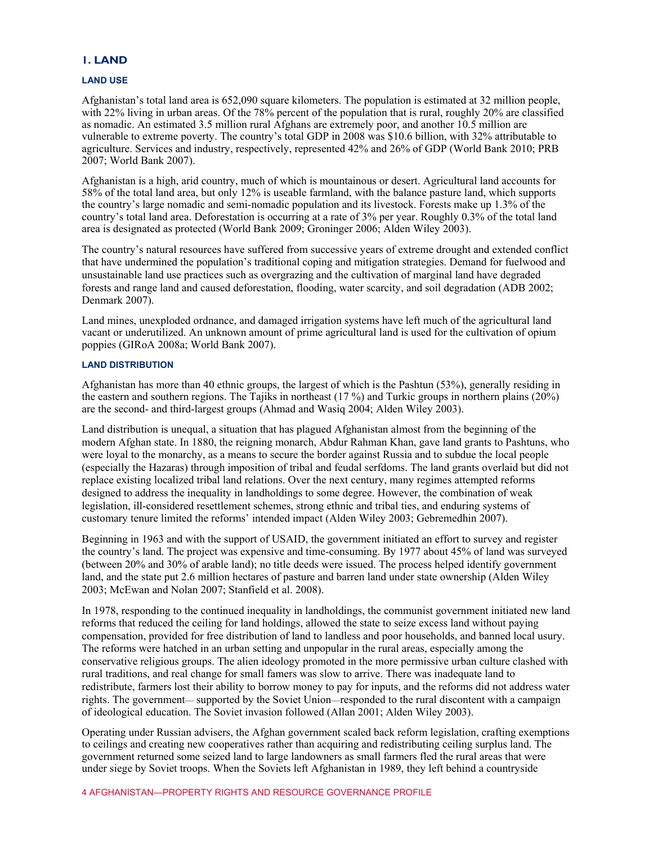#### **1. LAND**

#### **LAND USE**

Afghanistan's total land area is 652,090 square kilometers. The population is estimated at 32 million people, with 22% living in urban areas. Of the 78% percent of the population that is rural, roughly 20% are classified as nomadic. An estimated 3.5 million rural Afghans are extremely poor, and another 10.5 million are vulnerable to extreme poverty. The country's total GDP in 2008 was \$10.6 billion, with 32% attributable to agriculture. Services and industry, respectively, represented 42% and 26% of GDP (World Bank 2010; PRB 2007; World Bank 2007).

Afghanistan is a high, arid country, much of which is mountainous or desert. Agricultural land accounts for 58% of the total land area, but only 12% is useable farmland, with the balance pasture land, which supports the country's large nomadic and semi-nomadic population and its livestock. Forests make up 1.3% of the country's total land area. Deforestation is occurring at a rate of 3% per year. Roughly 0.3% of the total land area is designated as protected (World Bank 2009; Groninger 2006; Alden Wiley 2003).

The country's natural resources have suffered from successive years of extreme drought and extended conflict that have undermined the population's traditional coping and mitigation strategies. Demand for fuelwood and unsustainable land use practices such as overgrazing and the cultivation of marginal land have degraded forests and range land and caused deforestation, flooding, water scarcity, and soil degradation (ADB 2002; Denmark 2007).

Land mines, unexploded ordnance, and damaged irrigation systems have left much of the agricultural land vacant or underutilized. An unknown amount of prime agricultural land is used for the cultivation of opium poppies (GIRoA 2008a; World Bank 2007).

#### **LAND DISTRIBUTION**

Afghanistan has more than 40 ethnic groups, the largest of which is the Pashtun (53%), generally residing in the eastern and southern regions. The Tajiks in northeast (17 %) and Turkic groups in northern plains (20%) are the second- and third-largest groups (Ahmad and Wasiq 2004; Alden Wiley 2003).

Land distribution is unequal, a situation that has plagued Afghanistan almost from the beginning of the modern Afghan state. In 1880, the reigning monarch, Abdur Rahman Khan, gave land grants to Pashtuns, who were loyal to the monarchy, as a means to secure the border against Russia and to subdue the local people (especially the Hazaras) through imposition of tribal and feudal serfdoms. The land grants overlaid but did not replace existing localized tribal land relations. Over the next century, many regimes attempted reforms designed to address the inequality in landholdings to some degree. However, the combination of weak legislation, ill-considered resettlement schemes, strong ethnic and tribal ties, and enduring systems of customary tenure limited the reforms' intended impact (Alden Wiley 2003; Gebremedhin 2007).

Beginning in 1963 and with the support of USAID, the government initiated an effort to survey and register the country's land. The project was expensive and time-consuming. By 1977 about 45% of land was surveyed (between 20% and 30% of arable land); no title deeds were issued. The process helped identify government land, and the state put 2.6 million hectares of pasture and barren land under state ownership (Alden Wiley 2003; McEwan and Nolan 2007; Stanfield et al. 2008).

In 1978, responding to the continued inequality in landholdings, the communist government initiated new land reforms that reduced the ceiling for land holdings, allowed the state to seize excess land without paying compensation, provided for free distribution of land to landless and poor households, and banned local usury. The reforms were hatched in an urban setting and unpopular in the rural areas, especially among the conservative religious groups. The alien ideology promoted in the more permissive urban culture clashed with rural traditions, and real change for small famers was slow to arrive. There was inadequate land to redistribute, farmers lost their ability to borrow money to pay for inputs, and the reforms did not address water rights. The government–– supported by the Soviet Union––responded to the rural discontent with a campaign of ideological education. The Soviet invasion followed (Allan 2001; Alden Wiley 2003).

Operating under Russian advisers, the Afghan government scaled back reform legislation, crafting exemptions to ceilings and creating new cooperatives rather than acquiring and redistributing ceiling surplus land. The government returned some seized land to large landowners as small farmers fled the rural areas that were under siege by Soviet troops. When the Soviets left Afghanistan in 1989, they left behind a countryside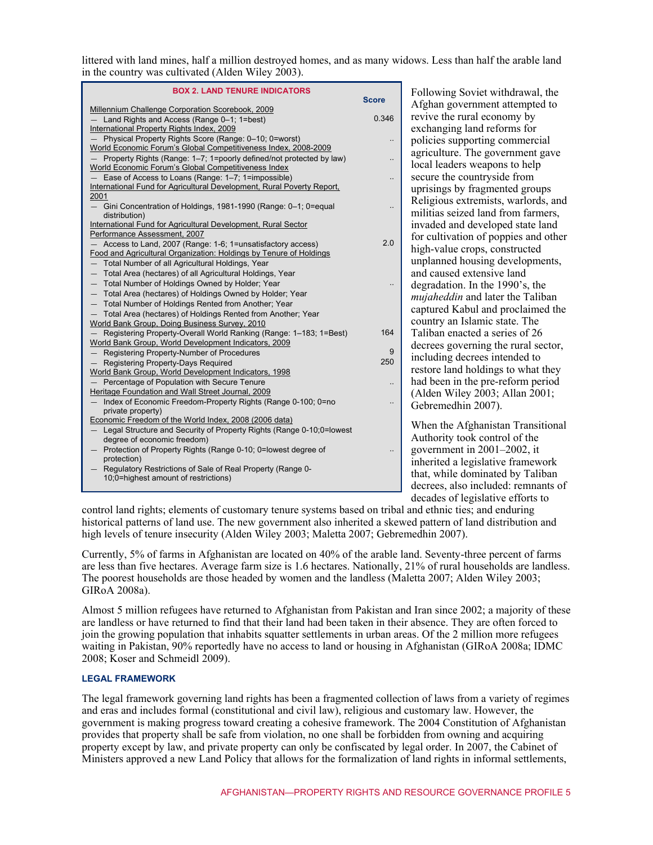littered with land mines, half a million destroyed homes, and as many widows. Less than half the arable land in the country was cultivated (Alden Wiley 2003).

| <b>BOX 2. LAND TENURE INDICATORS</b>                                                                                                |              | Fol               |
|-------------------------------------------------------------------------------------------------------------------------------------|--------------|-------------------|
| Millennium Challenge Corporation Scorebook, 2009                                                                                    | <b>Score</b> | Afg               |
| - Land Rights and Access (Range 0-1; 1=best)                                                                                        | 0.346        | rev               |
| International Property Rights Index, 2009                                                                                           |              | exc               |
| - Physical Property Rights Score (Range: 0-10; 0=worst)                                                                             |              | pol               |
| World Economic Forum's Global Competitiveness Index, 2008-2009                                                                      |              | agr               |
| - Property Rights (Range: 1-7; 1=poorly defined/not protected by law)                                                               |              | loca              |
| World Economic Forum's Global Competitiveness Index                                                                                 |              |                   |
| Ease of Access to Loans (Range: 1-7; 1=impossible)<br>$-$<br>International Fund for Agricultural Development, Rural Poverty Report, | .,           | sec               |
| 2001                                                                                                                                |              | upr               |
| - Gini Concentration of Holdings, 1981-1990 (Range: 0-1; 0=equal                                                                    | Ω.           | Rel               |
| distribution)                                                                                                                       |              | mil               |
| International Fund for Agricultural Development, Rural Sector                                                                       |              | inv               |
| Performance Assessment, 2007                                                                                                        |              | for               |
| - Access to Land, 2007 (Range: 1-6; 1=unsatisfactory access)                                                                        | 2.0          | hig               |
| Food and Agricultural Organization: Holdings by Tenure of Holdings                                                                  |              | unp               |
| Total Number of all Agricultural Holdings, Year<br>$\qquad \qquad -$                                                                |              | and               |
| Total Area (hectares) of all Agricultural Holdings, Year<br>$\qquad \qquad -$<br>Total Number of Holdings Owned by Holder; Year     |              |                   |
| Total Area (hectares) of Holdings Owned by Holder; Year                                                                             |              | deg               |
| Total Number of Holdings Rented from Another; Year                                                                                  |              | mu                |
| Total Area (hectares) of Holdings Rented from Another; Year                                                                         |              | cap               |
| World Bank Group, Doing Business Survey, 2010                                                                                       |              | cou               |
| - Registering Property-Overall World Ranking (Range: 1-183; 1=Best)                                                                 | 164          | Tal               |
| World Bank Group. World Development Indicators. 2009                                                                                |              | dec               |
| Registering Property-Number of Procedures                                                                                           | 9            | inc               |
| - Registering Property-Days Required                                                                                                | 250          | rest              |
| World Bank Group, World Development Indicators, 1998<br>Percentage of Population with Secure Tenure                                 |              | had               |
| Heritage Foundation and Wall Street Journal, 2009                                                                                   |              |                   |
| - Index of Economic Freedom-Property Rights (Range 0-100; 0=no                                                                      | Ω.           | (A <sup>1</sup> ) |
| private property)                                                                                                                   |              | Gel               |
| Economic Freedom of the World Index, 2008 (2006 data)                                                                               |              | Wh                |
| Legal Structure and Security of Property Rights (Range 0-10;0=lowest<br>$\qquad \qquad -$                                           |              |                   |
| degree of economic freedom)                                                                                                         |              | Au                |
| Protection of Property Rights (Range 0-10; 0=lowest degree of                                                                       |              | gov               |
| protection)<br>Regulatory Restrictions of Sale of Real Property (Range 0-<br>$\qquad \qquad -$                                      |              | inh               |
| 10;0=highest amount of restrictions)                                                                                                |              | tha               |
|                                                                                                                                     |              | dec               |

Ilowing Soviet withdrawal, the ahan government attempted to rive the rural economy by changing land reforms for licies supporting commercial iculture. The government gave al leaders weapons to help ure the countryside from isings by fragmented groups igious extremists, warlords, and itias seized land from farmers, aded and developed state land cultivation of poppies and other h-value crops, constructed planned housing developments, l caused extensive land gradation. In the 1990's, the *iaheddin* and later the Taliban tured Kabul and proclaimed the intry an Islamic state. The iban enacted a series of 26 rees governing the rural sector, luding decrees intended to tore land holdings to what they l been in the pre-reform period den Wiley 2003; Allan  $2001$ ; bremedhin 2007).

en the Afghanistan Transitional thority took control of the  $y$ ernment in 2001–2002, it erited a legislative framework t, while dominated by Taliban decrees, also included: remnants of decades of legislative efforts to

control land rights; elements of customary tenure systems based on tribal and ethnic ties; and enduring historical patterns of land use. The new government also inherited a skewed pattern of land distribution and high levels of tenure insecurity (Alden Wiley 2003; Maletta 2007; Gebremedhin 2007).

Currently, 5% of farms in Afghanistan are located on 40% of the arable land. Seventy-three percent of farms are less than five hectares. Average farm size is 1.6 hectares. Nationally, 21% of rural households are landless. The poorest households are those headed by women and the landless (Maletta 2007; Alden Wiley 2003; GIRoA 2008a).

Almost 5 million refugees have returned to Afghanistan from Pakistan and Iran since 2002; a majority of these are landless or have returned to find that their land had been taken in their absence. They are often forced to join the growing population that inhabits squatter settlements in urban areas. Of the 2 million more refugees waiting in Pakistan, 90% reportedly have no access to land or housing in Afghanistan (GIRoA 2008a; IDMC 2008; Koser and Schmeidl 2009).

#### **LEGAL FRAMEWORK**

The legal framework governing land rights has been a fragmented collection of laws from a variety of regimes and eras and includes formal (constitutional and civil law), religious and customary law. However, the government is making progress toward creating a cohesive framework. The 2004 Constitution of Afghanistan provides that property shall be safe from violation, no one shall be forbidden from owning and acquiring property except by law, and private property can only be confiscated by legal order. In 2007, the Cabinet of Ministers approved a new Land Policy that allows for the formalization of land rights in informal settlements,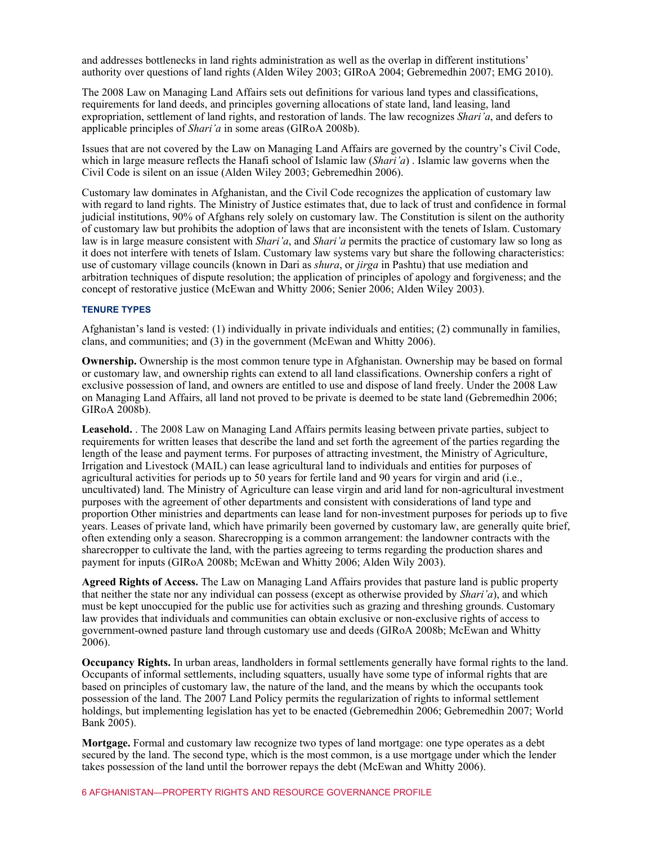and addresses bottlenecks in land rights administration as well as the overlap in different institutions' authority over questions of land rights (Alden Wiley 2003; GIRoA 2004; Gebremedhin 2007; EMG 2010).

The 2008 Law on Managing Land Affairs sets out definitions for various land types and classifications, requirements for land deeds, and principles governing allocations of state land, land leasing, land expropriation, settlement of land rights, and restoration of lands. The law recognizes *Shari'a*, and defers to applicable principles of *Shari'a* in some areas (GIRoA 2008b).

Issues that are not covered by the Law on Managing Land Affairs are governed by the country's Civil Code, which in large measure reflects the Hanafi school of Islamic law (*Shari'a*) . Islamic law governs when the Civil Code is silent on an issue (Alden Wiley 2003; Gebremedhin 2006).

Customary law dominates in Afghanistan, and the Civil Code recognizes the application of customary law with regard to land rights. The Ministry of Justice estimates that, due to lack of trust and confidence in formal judicial institutions, 90% of Afghans rely solely on customary law. The Constitution is silent on the authority of customary law but prohibits the adoption of laws that are inconsistent with the tenets of Islam. Customary law is in large measure consistent with *Shari'a*, and *Shari'a* permits the practice of customary law so long as it does not interfere with tenets of Islam. Customary law systems vary but share the following characteristics: use of customary village councils (known in Dari as *shura*, or *jirga* in Pashtu) that use mediation and arbitration techniques of dispute resolution; the application of principles of apology and forgiveness; and the concept of restorative justice (McEwan and Whitty 2006; Senier 2006; Alden Wiley 2003).

#### **TENURE TYPES**

Afghanistan's land is vested: (1) individually in private individuals and entities; (2) communally in families, clans, and communities; and (3) in the government (McEwan and Whitty 2006).

**Ownership.** Ownership is the most common tenure type in Afghanistan. Ownership may be based on formal or customary law, and ownership rights can extend to all land classifications. Ownership confers a right of exclusive possession of land, and owners are entitled to use and dispose of land freely. Under the 2008 Law on Managing Land Affairs, all land not proved to be private is deemed to be state land (Gebremedhin 2006; GIRoA 2008b).

**Leasehold.** . The 2008 Law on Managing Land Affairs permits leasing between private parties, subject to requirements for written leases that describe the land and set forth the agreement of the parties regarding the length of the lease and payment terms. For purposes of attracting investment, the Ministry of Agriculture, Irrigation and Livestock (MAIL) can lease agricultural land to individuals and entities for purposes of agricultural activities for periods up to 50 years for fertile land and 90 years for virgin and arid (i.e., uncultivated) land. The Ministry of Agriculture can lease virgin and arid land for non-agricultural investment purposes with the agreement of other departments and consistent with considerations of land type and proportion Other ministries and departments can lease land for non-investment purposes for periods up to five years. Leases of private land, which have primarily been governed by customary law, are generally quite brief, often extending only a season. Sharecropping is a common arrangement: the landowner contracts with the sharecropper to cultivate the land, with the parties agreeing to terms regarding the production shares and payment for inputs (GIRoA 2008b; McEwan and Whitty 2006; Alden Wily 2003).

**Agreed Rights of Access.** The Law on Managing Land Affairs provides that pasture land is public property that neither the state nor any individual can possess (except as otherwise provided by *Shari'a*), and which must be kept unoccupied for the public use for activities such as grazing and threshing grounds. Customary law provides that individuals and communities can obtain exclusive or non-exclusive rights of access to government-owned pasture land through customary use and deeds (GIRoA 2008b; McEwan and Whitty 2006).

**Occupancy Rights.** In urban areas, landholders in formal settlements generally have formal rights to the land. Occupants of informal settlements, including squatters, usually have some type of informal rights that are based on principles of customary law, the nature of the land, and the means by which the occupants took possession of the land. The 2007 Land Policy permits the regularization of rights to informal settlement holdings, but implementing legislation has yet to be enacted (Gebremedhin 2006; Gebremedhin 2007; World Bank 2005).

**Mortgage.** Formal and customary law recognize two types of land mortgage: one type operates as a debt secured by the land. The second type, which is the most common, is a use mortgage under which the lender takes possession of the land until the borrower repays the debt (McEwan and Whitty 2006).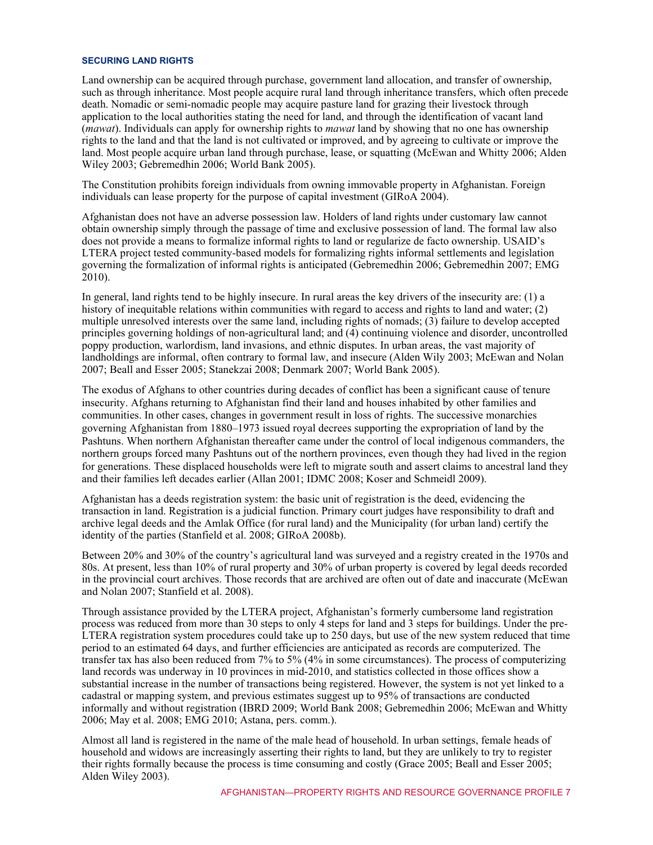#### **SECURING LAND RIGHTS**

Land ownership can be acquired through purchase, government land allocation, and transfer of ownership, such as through inheritance. Most people acquire rural land through inheritance transfers, which often precede death. Nomadic or semi-nomadic people may acquire pasture land for grazing their livestock through application to the local authorities stating the need for land, and through the identification of vacant land (*mawat*). Individuals can apply for ownership rights to *mawat* land by showing that no one has ownership rights to the land and that the land is not cultivated or improved, and by agreeing to cultivate or improve the land. Most people acquire urban land through purchase, lease, or squatting (McEwan and Whitty 2006; Alden Wiley 2003; Gebremedhin 2006; World Bank 2005).

The Constitution prohibits foreign individuals from owning immovable property in Afghanistan. Foreign individuals can lease property for the purpose of capital investment (GIRoA 2004).

Afghanistan does not have an adverse possession law. Holders of land rights under customary law cannot obtain ownership simply through the passage of time and exclusive possession of land. The formal law also does not provide a means to formalize informal rights to land or regularize de facto ownership. USAID's LTERA project tested community-based models for formalizing rights informal settlements and legislation governing the formalization of informal rights is anticipated (Gebremedhin 2006; Gebremedhin 2007; EMG 2010).

In general, land rights tend to be highly insecure. In rural areas the key drivers of the insecurity are: (1) a history of inequitable relations within communities with regard to access and rights to land and water; (2) multiple unresolved interests over the same land, including rights of nomads; (3) failure to develop accepted principles governing holdings of non-agricultural land; and (4) continuing violence and disorder, uncontrolled poppy production, warlordism, land invasions, and ethnic disputes. In urban areas, the vast majority of landholdings are informal, often contrary to formal law, and insecure (Alden Wily 2003; McEwan and Nolan 2007; Beall and Esser 2005; Stanekzai 2008; Denmark 2007; World Bank 2005).

The exodus of Afghans to other countries during decades of conflict has been a significant cause of tenure insecurity. Afghans returning to Afghanistan find their land and houses inhabited by other families and communities. In other cases, changes in government result in loss of rights. The successive monarchies governing Afghanistan from 1880–1973 issued royal decrees supporting the expropriation of land by the Pashtuns. When northern Afghanistan thereafter came under the control of local indigenous commanders, the northern groups forced many Pashtuns out of the northern provinces, even though they had lived in the region for generations. These displaced households were left to migrate south and assert claims to ancestral land they and their families left decades earlier (Allan 2001; IDMC 2008; Koser and Schmeidl 2009).

Afghanistan has a deeds registration system: the basic unit of registration is the deed, evidencing the transaction in land. Registration is a judicial function. Primary court judges have responsibility to draft and archive legal deeds and the Amlak Office (for rural land) and the Municipality (for urban land) certify the identity of the parties (Stanfield et al. 2008; GIRoA 2008b).

Between 20% and 30% of the country's agricultural land was surveyed and a registry created in the 1970s and 80s. At present, less than 10% of rural property and 30% of urban property is covered by legal deeds recorded in the provincial court archives. Those records that are archived are often out of date and inaccurate (McEwan and Nolan 2007; Stanfield et al. 2008).

Through assistance provided by the LTERA project, Afghanistan's formerly cumbersome land registration process was reduced from more than 30 steps to only 4 steps for land and 3 steps for buildings. Under the pre-LTERA registration system procedures could take up to 250 days, but use of the new system reduced that time period to an estimated 64 days, and further efficiencies are anticipated as records are computerized. The transfer tax has also been reduced from 7% to 5% (4% in some circumstances). The process of computerizing land records was underway in 10 provinces in mid-2010, and statistics collected in those offices show a substantial increase in the number of transactions being registered. However, the system is not yet linked to a cadastral or mapping system, and previous estimates suggest up to 95% of transactions are conducted informally and without registration (IBRD 2009; World Bank 2008; Gebremedhin 2006; McEwan and Whitty 2006; May et al. 2008; EMG 2010; Astana, pers. comm.).

Almost all land is registered in the name of the male head of household. In urban settings, female heads of household and widows are increasingly asserting their rights to land, but they are unlikely to try to register their rights formally because the process is time consuming and costly (Grace 2005; Beall and Esser 2005; Alden Wiley 2003).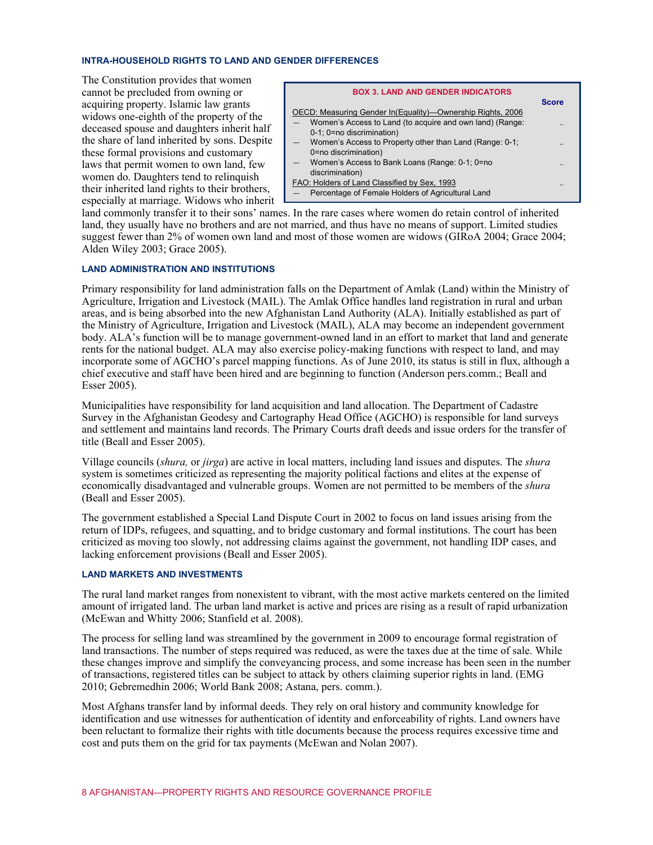#### **INTRA-HOUSEHOLD RIGHTS TO LAND AND GENDER DIFFERENCES**

The Constitution provides that women cannot be precluded from owning or acquiring property. Islamic law grants widows one-eighth of the property of the deceased spouse and daughters inherit half the share of land inherited by sons. Despite these formal provisions and customary laws that permit women to own land, few women do. Daughters tend to relinquish their inherited land rights to their brothers, especially at marriage. Widows who inherit

| <b>BOX 3. LAND AND GENDER INDICATORS</b>                    |              |
|-------------------------------------------------------------|--------------|
|                                                             | <b>Score</b> |
| OECD: Measuring Gender In (Equality)—Ownership Rights, 2006 |              |
| Women's Access to Land (to acquire and own land) (Range:    |              |
| 0-1; 0=no discrimination)                                   |              |
| Women's Access to Property other than Land (Range: 0-1;     |              |
| 0=no discrimination)                                        |              |
| Women's Access to Bank Loans (Range: 0-1; 0=no              |              |
| discrimination)                                             |              |
| FAO: Holders of Land Classified by Sex, 1993                |              |
| Percentage of Female Holders of Agricultural Land           |              |

land commonly transfer it to their sons' names. In the rare cases where women do retain control of inherited land, they usually have no brothers and are not married, and thus have no means of support. Limited studies suggest fewer than 2% of women own land and most of those women are widows (GIRoA 2004; Grace 2004; Alden Wiley 2003; Grace 2005).

#### **LAND ADMINISTRATION AND INSTITUTIONS**

Primary responsibility for land administration falls on the Department of Amlak (Land) within the Ministry of Agriculture, Irrigation and Livestock (MAIL). The Amlak Office handles land registration in rural and urban areas, and is being absorbed into the new Afghanistan Land Authority (ALA). Initially established as part of the Ministry of Agriculture, Irrigation and Livestock (MAIL), ALA may become an independent government body. ALA's function will be to manage government-owned land in an effort to market that land and generate rents for the national budget. ALA may also exercise policy-making functions with respect to land, and may incorporate some of AGCHO's parcel mapping functions. As of June 2010, its status is still in flux, although a chief executive and staff have been hired and are beginning to function (Anderson pers.comm.; Beall and Esser 2005).

Municipalities have responsibility for land acquisition and land allocation. The Department of Cadastre Survey in the Afghanistan Geodesy and Cartography Head Office (AGCHO) is responsible for land surveys and settlement and maintains land records. The Primary Courts draft deeds and issue orders for the transfer of title (Beall and Esser 2005).

Village councils (*shura,* or *jirga*) are active in local matters, including land issues and disputes. The *shura* system is sometimes criticized as representing the majority political factions and elites at the expense of economically disadvantaged and vulnerable groups. Women are not permitted to be members of the *shura* (Beall and Esser 2005).

The government established a Special Land Dispute Court in 2002 to focus on land issues arising from the return of IDPs, refugees, and squatting, and to bridge customary and formal institutions. The court has been criticized as moving too slowly, not addressing claims against the government, not handling IDP cases, and lacking enforcement provisions (Beall and Esser 2005).

#### **LAND MARKETS AND INVESTMENTS**

The rural land market ranges from nonexistent to vibrant, with the most active markets centered on the limited amount of irrigated land. The urban land market is active and prices are rising as a result of rapid urbanization (McEwan and Whitty 2006; Stanfield et al. 2008).

The process for selling land was streamlined by the government in 2009 to encourage formal registration of land transactions. The number of steps required was reduced, as were the taxes due at the time of sale. While these changes improve and simplify the conveyancing process, and some increase has been seen in the number of transactions, registered titles can be subject to attack by others claiming superior rights in land. (EMG 2010; Gebremedhin 2006; World Bank 2008; Astana, pers. comm.).

Most Afghans transfer land by informal deeds. They rely on oral history and community knowledge for identification and use witnesses for authentication of identity and enforceability of rights. Land owners have been reluctant to formalize their rights with title documents because the process requires excessive time and cost and puts them on the grid for tax payments (McEwan and Nolan 2007).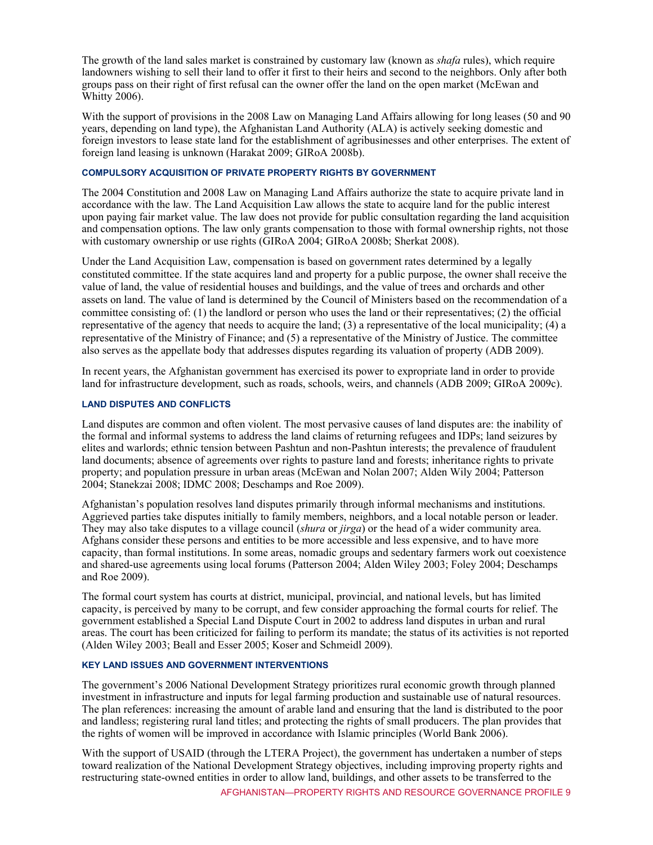The growth of the land sales market is constrained by customary law (known as *shafa* rules), which require landowners wishing to sell their land to offer it first to their heirs and second to the neighbors. Only after both groups pass on their right of first refusal can the owner offer the land on the open market (McEwan and Whitty 2006).

With the support of provisions in the 2008 Law on Managing Land Affairs allowing for long leases (50 and 90 years, depending on land type), the Afghanistan Land Authority (ALA) is actively seeking domestic and foreign investors to lease state land for the establishment of agribusinesses and other enterprises. The extent of foreign land leasing is unknown (Harakat 2009; GIRoA 2008b).

#### **COMPULSORY ACQUISITION OF PRIVATE PROPERTY RIGHTS BY GOVERNMENT**

The 2004 Constitution and 2008 Law on Managing Land Affairs authorize the state to acquire private land in accordance with the law. The Land Acquisition Law allows the state to acquire land for the public interest upon paying fair market value. The law does not provide for public consultation regarding the land acquisition and compensation options. The law only grants compensation to those with formal ownership rights, not those with customary ownership or use rights (GIRoA 2004; GIRoA 2008b; Sherkat 2008).

Under the Land Acquisition Law, compensation is based on government rates determined by a legally constituted committee. If the state acquires land and property for a public purpose, the owner shall receive the value of land, the value of residential houses and buildings, and the value of trees and orchards and other assets on land. The value of land is determined by the Council of Ministers based on the recommendation of a committee consisting of: (1) the landlord or person who uses the land or their representatives; (2) the official representative of the agency that needs to acquire the land; (3) a representative of the local municipality; (4) a representative of the Ministry of Finance; and (5) a representative of the Ministry of Justice. The committee also serves as the appellate body that addresses disputes regarding its valuation of property (ADB 2009).

In recent years, the Afghanistan government has exercised its power to expropriate land in order to provide land for infrastructure development, such as roads, schools, weirs, and channels (ADB 2009; GIRoA 2009c).

#### **LAND DISPUTES AND CONFLICTS**

Land disputes are common and often violent. The most pervasive causes of land disputes are: the inability of the formal and informal systems to address the land claims of returning refugees and IDPs; land seizures by elites and warlords; ethnic tension between Pashtun and non-Pashtun interests; the prevalence of fraudulent land documents; absence of agreements over rights to pasture land and forests; inheritance rights to private property; and population pressure in urban areas (McEwan and Nolan 2007; Alden Wily 2004; Patterson 2004; Stanekzai 2008; IDMC 2008; Deschamps and Roe 2009).

Afghanistan's population resolves land disputes primarily through informal mechanisms and institutions. Aggrieved parties take disputes initially to family members, neighbors, and a local notable person or leader. They may also take disputes to a village council (*shura* or *jirga*) or the head of a wider community area. Afghans consider these persons and entities to be more accessible and less expensive, and to have more capacity, than formal institutions. In some areas, nomadic groups and sedentary farmers work out coexistence and shared-use agreements using local forums (Patterson 2004; Alden Wiley 2003; Foley 2004; Deschamps and Roe 2009).

The formal court system has courts at district, municipal, provincial, and national levels, but has limited capacity, is perceived by many to be corrupt, and few consider approaching the formal courts for relief. The government established a Special Land Dispute Court in 2002 to address land disputes in urban and rural areas. The court has been criticized for failing to perform its mandate; the status of its activities is not reported (Alden Wiley 2003; Beall and Esser 2005; Koser and Schmeidl 2009).

#### **KEY LAND ISSUES AND GOVERNMENT INTERVENTIONS**

The government's 2006 National Development Strategy prioritizes rural economic growth through planned investment in infrastructure and inputs for legal farming production and sustainable use of natural resources. The plan references: increasing the amount of arable land and ensuring that the land is distributed to the poor and landless; registering rural land titles; and protecting the rights of small producers. The plan provides that the rights of women will be improved in accordance with Islamic principles (World Bank 2006).

With the support of USAID (through the LTERA Project), the government has undertaken a number of steps toward realization of the National Development Strategy objectives, including improving property rights and restructuring state-owned entities in order to allow land, buildings, and other assets to be transferred to the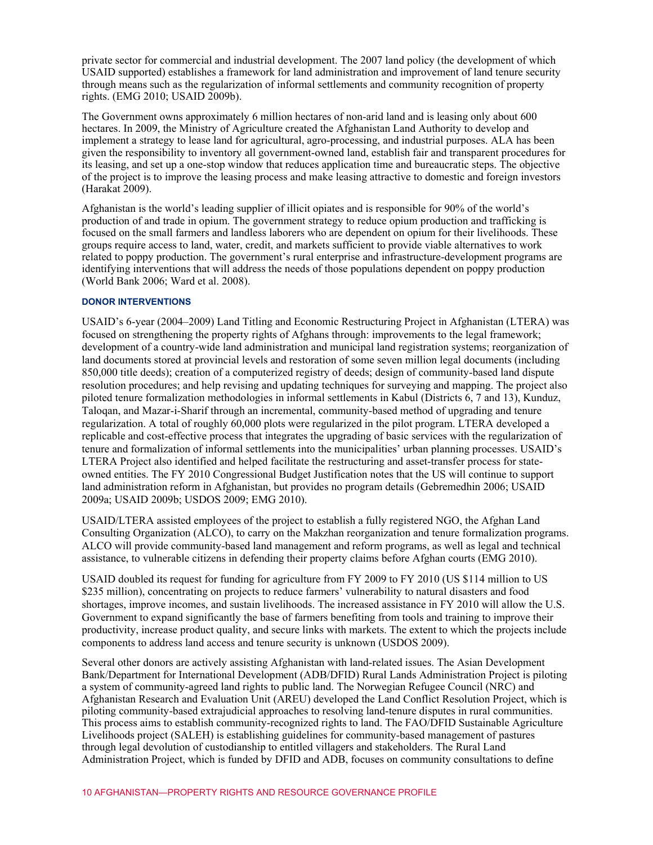private sector for commercial and industrial development. The 2007 land policy (the development of which USAID supported) establishes a framework for land administration and improvement of land tenure security through means such as the regularization of informal settlements and community recognition of property rights. (EMG 2010; USAID 2009b).

The Government owns approximately 6 million hectares of non-arid land and is leasing only about 600 hectares. In 2009, the Ministry of Agriculture created the Afghanistan Land Authority to develop and implement a strategy to lease land for agricultural, agro-processing, and industrial purposes. ALA has been given the responsibility to inventory all government-owned land, establish fair and transparent procedures for its leasing, and set up a one-stop window that reduces application time and bureaucratic steps. The objective of the project is to improve the leasing process and make leasing attractive to domestic and foreign investors (Harakat 2009).

Afghanistan is the world's leading supplier of illicit opiates and is responsible for 90% of the world's production of and trade in opium. The government strategy to reduce opium production and trafficking is focused on the small farmers and landless laborers who are dependent on opium for their livelihoods. These groups require access to land, water, credit, and markets sufficient to provide viable alternatives to work related to poppy production. The government's rural enterprise and infrastructure-development programs are identifying interventions that will address the needs of those populations dependent on poppy production (World Bank 2006; Ward et al. 2008).

#### **DONOR INTERVENTIONS**

USAID's 6-year (2004–2009) Land Titling and Economic Restructuring Project in Afghanistan (LTERA) was focused on strengthening the property rights of Afghans through: improvements to the legal framework; development of a country-wide land administration and municipal land registration systems; reorganization of land documents stored at provincial levels and restoration of some seven million legal documents (including 850,000 title deeds); creation of a computerized registry of deeds; design of community-based land dispute resolution procedures; and help revising and updating techniques for surveying and mapping. The project also piloted tenure formalization methodologies in informal settlements in Kabul (Districts 6, 7 and 13), Kunduz, Taloqan, and Mazar-i-Sharif through an incremental, community-based method of upgrading and tenure regularization. A total of roughly 60,000 plots were regularized in the pilot program. LTERA developed a replicable and cost-effective process that integrates the upgrading of basic services with the regularization of tenure and formalization of informal settlements into the municipalities' urban planning processes. USAID's LTERA Project also identified and helped facilitate the restructuring and asset-transfer process for stateowned entities. The FY 2010 Congressional Budget Justification notes that the US will continue to support land administration reform in Afghanistan, but provides no program details (Gebremedhin 2006; USAID 2009a; USAID 2009b; USDOS 2009; EMG 2010).

USAID/LTERA assisted employees of the project to establish a fully registered NGO, the Afghan Land Consulting Organization (ALCO), to carry on the Makzhan reorganization and tenure formalization programs. ALCO will provide community-based land management and reform programs, as well as legal and technical assistance, to vulnerable citizens in defending their property claims before Afghan courts (EMG 2010).

USAID doubled its request for funding for agriculture from FY 2009 to FY 2010 (US \$114 million to US \$235 million), concentrating on projects to reduce farmers' vulnerability to natural disasters and food shortages, improve incomes, and sustain livelihoods. The increased assistance in FY 2010 will allow the U.S. Government to expand significantly the base of farmers benefiting from tools and training to improve their productivity, increase product quality, and secure links with markets. The extent to which the projects include components to address land access and tenure security is unknown (USDOS 2009).

Several other donors are actively assisting Afghanistan with land-related issues. The Asian Development Bank/Department for International Development (ADB/DFID) Rural Lands Administration Project is piloting a system of community-agreed land rights to public land. The Norwegian Refugee Council (NRC) and Afghanistan Research and Evaluation Unit (AREU) developed the Land Conflict Resolution Project, which is piloting community-based extrajudicial approaches to resolving land-tenure disputes in rural communities. This process aims to establish community-recognized rights to land. The FAO/DFID Sustainable Agriculture Livelihoods project (SALEH) is establishing guidelines for community-based management of pastures through legal devolution of custodianship to entitled villagers and stakeholders. The Rural Land Administration Project, which is funded by DFID and ADB, focuses on community consultations to define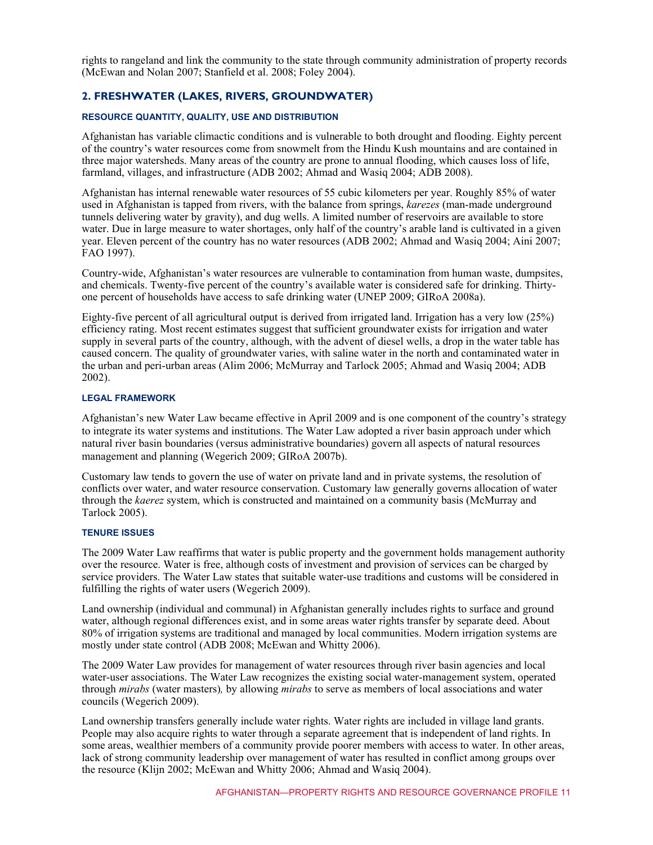rights to rangeland and link the community to the state through community administration of property records (McEwan and Nolan 2007; Stanfield et al. 2008; Foley 2004).

## **2. FRESHWATER (LAKES, RIVERS, GROUNDWATER)**

#### **RESOURCE QUANTITY, QUALITY, USE AND DISTRIBUTION**

Afghanistan has variable climactic conditions and is vulnerable to both drought and flooding. Eighty percent of the country's water resources come from snowmelt from the Hindu Kush mountains and are contained in three major watersheds. Many areas of the country are prone to annual flooding, which causes loss of life, farmland, villages, and infrastructure (ADB 2002; Ahmad and Wasiq 2004; ADB 2008).

Afghanistan has internal renewable water resources of 55 cubic kilometers per year. Roughly 85% of water used in Afghanistan is tapped from rivers, with the balance from springs, *karezes* (man-made underground tunnels delivering water by gravity), and dug wells. A limited number of reservoirs are available to store water. Due in large measure to water shortages, only half of the country's arable land is cultivated in a given year. Eleven percent of the country has no water resources (ADB 2002; Ahmad and Wasiq 2004; Aini 2007; FAO 1997).

Country-wide, Afghanistan's water resources are vulnerable to contamination from human waste, dumpsites, and chemicals. Twenty-five percent of the country's available water is considered safe for drinking. Thirtyone percent of households have access to safe drinking water (UNEP 2009; GIRoA 2008a).

Eighty-five percent of all agricultural output is derived from irrigated land. Irrigation has a very low (25%) efficiency rating. Most recent estimates suggest that sufficient groundwater exists for irrigation and water supply in several parts of the country, although, with the advent of diesel wells, a drop in the water table has caused concern. The quality of groundwater varies, with saline water in the north and contaminated water in the urban and peri-urban areas (Alim 2006; McMurray and Tarlock 2005; Ahmad and Wasiq 2004; ADB 2002).

#### **LEGAL FRAMEWORK**

Afghanistan's new Water Law became effective in April 2009 and is one component of the country's strategy to integrate its water systems and institutions. The Water Law adopted a river basin approach under which natural river basin boundaries (versus administrative boundaries) govern all aspects of natural resources management and planning (Wegerich 2009; GIRoA 2007b).

Customary law tends to govern the use of water on private land and in private systems, the resolution of conflicts over water, and water resource conservation. Customary law generally governs allocation of water through the *kaerez* system, which is constructed and maintained on a community basis (McMurray and Tarlock 2005).

#### **TENURE ISSUES**

The 2009 Water Law reaffirms that water is public property and the government holds management authority over the resource. Water is free, although costs of investment and provision of services can be charged by service providers. The Water Law states that suitable water-use traditions and customs will be considered in fulfilling the rights of water users (Wegerich 2009).

Land ownership (individual and communal) in Afghanistan generally includes rights to surface and ground water, although regional differences exist, and in some areas water rights transfer by separate deed. About 80% of irrigation systems are traditional and managed by local communities. Modern irrigation systems are mostly under state control (ADB 2008; McEwan and Whitty 2006).

The 2009 Water Law provides for management of water resources through river basin agencies and local water-user associations. The Water Law recognizes the existing social water-management system, operated through *mirabs* (water masters)*,* by allowing *mirabs* to serve as members of local associations and water councils (Wegerich 2009).

Land ownership transfers generally include water rights. Water rights are included in village land grants. People may also acquire rights to water through a separate agreement that is independent of land rights. In some areas, wealthier members of a community provide poorer members with access to water. In other areas, lack of strong community leadership over management of water has resulted in conflict among groups over the resource (Klijn 2002; McEwan and Whitty 2006; Ahmad and Wasiq 2004).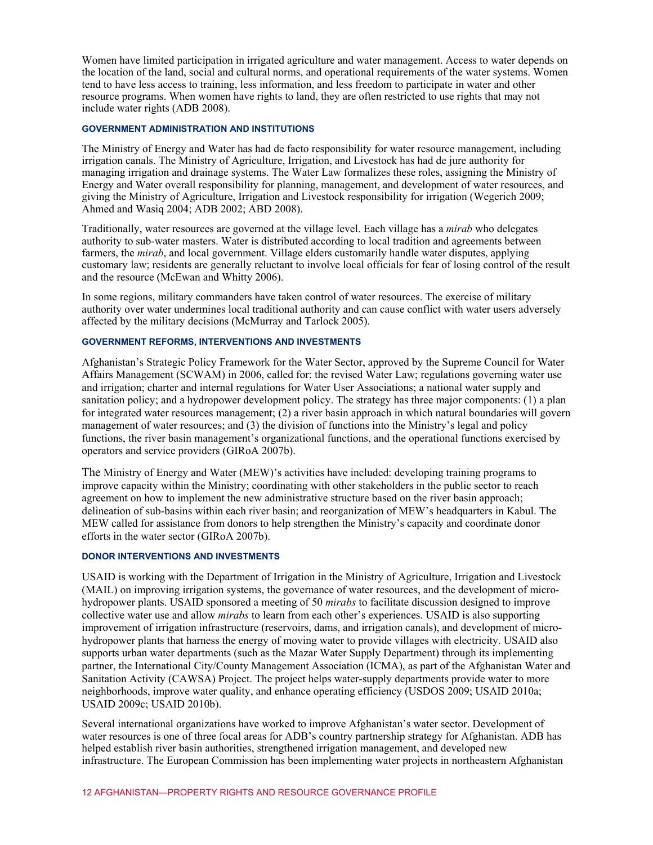Women have limited participation in irrigated agriculture and water management. Access to water depends on the location of the land, social and cultural norms, and operational requirements of the water systems. Women tend to have less access to training, less information, and less freedom to participate in water and other resource programs. When women have rights to land, they are often restricted to use rights that may not include water rights (ADB 2008).

#### **GOVERNMENT ADMINISTRATION AND INSTITUTIONS**

The Ministry of Energy and Water has had de facto responsibility for water resource management, including irrigation canals. The Ministry of Agriculture, Irrigation, and Livestock has had de jure authority for managing irrigation and drainage systems. The Water Law formalizes these roles, assigning the Ministry of Energy and Water overall responsibility for planning, management, and development of water resources, and giving the Ministry of Agriculture, Irrigation and Livestock responsibility for irrigation (Wegerich 2009; Ahmed and Wasiq 2004; ADB 2002; ABD 2008).

Traditionally, water resources are governed at the village level. Each village has a *mirab* who delegates authority to sub-water masters. Water is distributed according to local tradition and agreements between farmers, the *mirab*, and local government. Village elders customarily handle water disputes, applying customary law; residents are generally reluctant to involve local officials for fear of losing control of the result and the resource (McEwan and Whitty 2006).

In some regions, military commanders have taken control of water resources. The exercise of military authority over water undermines local traditional authority and can cause conflict with water users adversely affected by the military decisions (McMurray and Tarlock 2005).

#### **GOVERNMENT REFORMS, INTERVENTIONS AND INVESTMENTS**

Afghanistan's Strategic Policy Framework for the Water Sector, approved by the Supreme Council for Water Affairs Management (SCWAM) in 2006, called for: the revised Water Law; regulations governing water use and irrigation; charter and internal regulations for Water User Associations; a national water supply and sanitation policy; and a hydropower development policy. The strategy has three major components: (1) a plan for integrated water resources management; (2) a river basin approach in which natural boundaries will govern management of water resources; and (3) the division of functions into the Ministry's legal and policy functions, the river basin management's organizational functions, and the operational functions exercised by operators and service providers (GIRoA 2007b).

The Ministry of Energy and Water (MEW)'s activities have included: developing training programs to improve capacity within the Ministry; coordinating with other stakeholders in the public sector to reach agreement on how to implement the new administrative structure based on the river basin approach; delineation of sub-basins within each river basin; and reorganization of MEW's headquarters in Kabul. The MEW called for assistance from donors to help strengthen the Ministry's capacity and coordinate donor efforts in the water sector (GIRoA 2007b).

### **DONOR INTERVENTIONS AND INVESTMENTS**

USAID is working with the Department of Irrigation in the Ministry of Agriculture, Irrigation and Livestock (MAIL) on improving irrigation systems, the governance of water resources, and the development of microhydropower plants. USAID sponsored a meeting of 50 *mirabs* to facilitate discussion designed to improve collective water use and allow *mirabs* to learn from each other's experiences. USAID is also supporting improvement of irrigation infrastructure (reservoirs, dams, and irrigation canals), and development of microhydropower plants that harness the energy of moving water to provide villages with electricity. USAID also supports urban water departments (such as the Mazar Water Supply Department) through its implementing partner, the International City/County Management Association (ICMA), as part of the Afghanistan Water and Sanitation Activity (CAWSA) Project. The project helps water-supply departments provide water to more neighborhoods, improve water quality, and enhance operating efficiency (USDOS 2009; USAID 2010a; USAID 2009c; USAID 2010b).

Several international organizations have worked to improve Afghanistan's water sector. Development of water resources is one of three focal areas for ADB's country partnership strategy for Afghanistan. ADB has helped establish river basin authorities, strengthened irrigation management, and developed new infrastructure. The European Commission has been implementing water projects in northeastern Afghanistan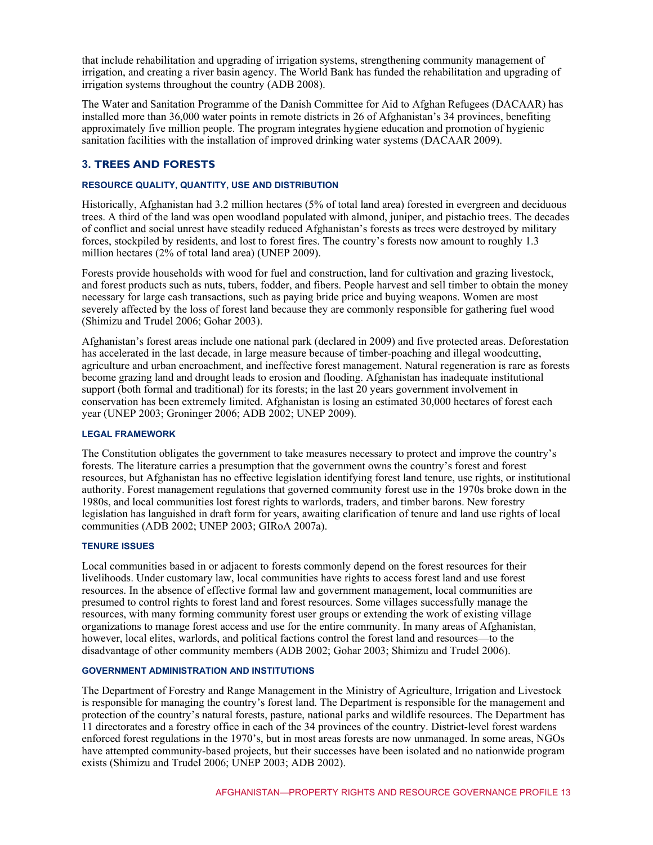that include rehabilitation and upgrading of irrigation systems, strengthening community management of irrigation, and creating a river basin agency. The World Bank has funded the rehabilitation and upgrading of irrigation systems throughout the country (ADB 2008).

The Water and Sanitation Programme of the Danish Committee for Aid to Afghan Refugees (DACAAR) has installed more than 36,000 water points in remote districts in 26 of Afghanistan's 34 provinces, benefiting approximately five million people. The program integrates hygiene education and promotion of hygienic sanitation facilities with the installation of improved drinking water systems (DACAAR 2009).

# **3. TREES AND FORESTS**

#### **RESOURCE QUALITY, QUANTITY, USE AND DISTRIBUTION**

Historically, Afghanistan had 3.2 million hectares (5% of total land area) forested in evergreen and deciduous trees. A third of the land was open woodland populated with almond, juniper, and pistachio trees. The decades of conflict and social unrest have steadily reduced Afghanistan's forests as trees were destroyed by military forces, stockpiled by residents, and lost to forest fires. The country's forests now amount to roughly 1.3 million hectares (2% of total land area) (UNEP 2009).

Forests provide households with wood for fuel and construction, land for cultivation and grazing livestock, and forest products such as nuts, tubers, fodder, and fibers. People harvest and sell timber to obtain the money necessary for large cash transactions, such as paying bride price and buying weapons. Women are most severely affected by the loss of forest land because they are commonly responsible for gathering fuel wood (Shimizu and Trudel 2006; Gohar 2003).

Afghanistan's forest areas include one national park (declared in 2009) and five protected areas. Deforestation has accelerated in the last decade, in large measure because of timber-poaching and illegal woodcutting, agriculture and urban encroachment, and ineffective forest management. Natural regeneration is rare as forests become grazing land and drought leads to erosion and flooding. Afghanistan has inadequate institutional support (both formal and traditional) for its forests; in the last 20 years government involvement in conservation has been extremely limited. Afghanistan is losing an estimated 30,000 hectares of forest each year (UNEP 2003; Groninger 2006; ADB 2002; UNEP 2009).

#### **LEGAL FRAMEWORK**

The Constitution obligates the government to take measures necessary to protect and improve the country's forests. The literature carries a presumption that the government owns the country's forest and forest resources, but Afghanistan has no effective legislation identifying forest land tenure, use rights, or institutional authority. Forest management regulations that governed community forest use in the 1970s broke down in the 1980s, and local communities lost forest rights to warlords, traders, and timber barons. New forestry legislation has languished in draft form for years, awaiting clarification of tenure and land use rights of local communities (ADB 2002; UNEP 2003; GIRoA 2007a).

#### **TENURE ISSUES**

Local communities based in or adjacent to forests commonly depend on the forest resources for their livelihoods. Under customary law, local communities have rights to access forest land and use forest resources. In the absence of effective formal law and government management, local communities are presumed to control rights to forest land and forest resources. Some villages successfully manage the resources, with many forming community forest user groups or extending the work of existing village organizations to manage forest access and use for the entire community. In many areas of Afghanistan, however, local elites, warlords, and political factions control the forest land and resources—to the disadvantage of other community members (ADB 2002; Gohar 2003; Shimizu and Trudel 2006).

#### **GOVERNMENT ADMINISTRATION AND INSTITUTIONS**

The Department of Forestry and Range Management in the Ministry of Agriculture, Irrigation and Livestock is responsible for managing the country's forest land. The Department is responsible for the management and protection of the country's natural forests, pasture, national parks and wildlife resources. The Department has 11 directorates and a forestry office in each of the 34 provinces of the country. District-level forest wardens enforced forest regulations in the 1970's, but in most areas forests are now unmanaged. In some areas, NGOs have attempted community-based projects, but their successes have been isolated and no nationwide program exists (Shimizu and Trudel 2006; UNEP 2003; ADB 2002).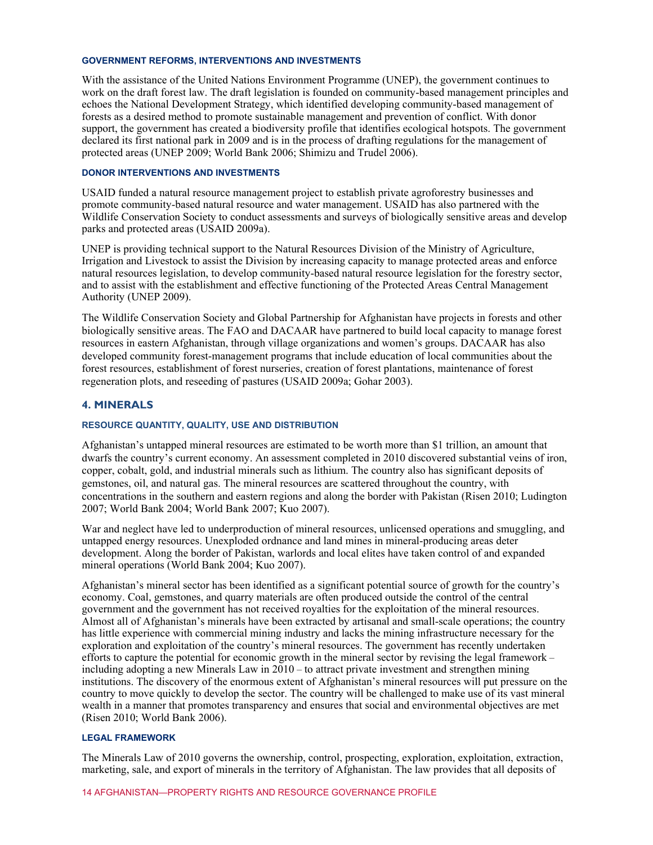#### **GOVERNMENT REFORMS, INTERVENTIONS AND INVESTMENTS**

With the assistance of the United Nations Environment Programme (UNEP), the government continues to work on the draft forest law. The draft legislation is founded on community-based management principles and echoes the National Development Strategy, which identified developing community-based management of forests as a desired method to promote sustainable management and prevention of conflict. With donor support, the government has created a biodiversity profile that identifies ecological hotspots. The government declared its first national park in 2009 and is in the process of drafting regulations for the management of protected areas (UNEP 2009; World Bank 2006; Shimizu and Trudel 2006).

#### **DONOR INTERVENTIONS AND INVESTMENTS**

USAID funded a natural resource management project to establish private agroforestry businesses and promote community-based natural resource and water management. USAID has also partnered with the Wildlife Conservation Society to conduct assessments and surveys of biologically sensitive areas and develop parks and protected areas (USAID 2009a).

UNEP is providing technical support to the Natural Resources Division of the Ministry of Agriculture, Irrigation and Livestock to assist the Division by increasing capacity to manage protected areas and enforce natural resources legislation, to develop community-based natural resource legislation for the forestry sector, and to assist with the establishment and effective functioning of the Protected Areas Central Management Authority (UNEP 2009).

The Wildlife Conservation Society and Global Partnership for Afghanistan have projects in forests and other biologically sensitive areas. The FAO and DACAAR have partnered to build local capacity to manage forest resources in eastern Afghanistan, through village organizations and women's groups. DACAAR has also developed community forest-management programs that include education of local communities about the forest resources, establishment of forest nurseries, creation of forest plantations, maintenance of forest regeneration plots, and reseeding of pastures (USAID 2009a; Gohar 2003).

#### **4. MINERALS**

#### **RESOURCE QUANTITY, QUALITY, USE AND DISTRIBUTION**

Afghanistan's untapped mineral resources are estimated to be worth more than \$1 trillion, an amount that dwarfs the country's current economy. An assessment completed in 2010 discovered substantial veins of iron, copper, cobalt, gold, and industrial minerals such as lithium. The country also has significant deposits of gemstones, oil, and natural gas. The mineral resources are scattered throughout the country, with concentrations in the southern and eastern regions and along the border with Pakistan (Risen 2010; Ludington 2007; World Bank 2004; World Bank 2007; Kuo 2007).

War and neglect have led to underproduction of mineral resources, unlicensed operations and smuggling, and untapped energy resources. Unexploded ordnance and land mines in mineral-producing areas deter development. Along the border of Pakistan, warlords and local elites have taken control of and expanded mineral operations (World Bank 2004; Kuo 2007).

Afghanistan's mineral sector has been identified as a significant potential source of growth for the country's economy. Coal, gemstones, and quarry materials are often produced outside the control of the central government and the government has not received royalties for the exploitation of the mineral resources. Almost all of Afghanistan's minerals have been extracted by artisanal and small-scale operations; the country has little experience with commercial mining industry and lacks the mining infrastructure necessary for the exploration and exploitation of the country's mineral resources. The government has recently undertaken efforts to capture the potential for economic growth in the mineral sector by revising the legal framework – including adopting a new Minerals Law in 2010 – to attract private investment and strengthen mining institutions. The discovery of the enormous extent of Afghanistan's mineral resources will put pressure on the country to move quickly to develop the sector. The country will be challenged to make use of its vast mineral wealth in a manner that promotes transparency and ensures that social and environmental objectives are met (Risen 2010; World Bank 2006).

#### **LEGAL FRAMEWORK**

The Minerals Law of 2010 governs the ownership, control, prospecting, exploration, exploitation, extraction, marketing, sale, and export of minerals in the territory of Afghanistan. The law provides that all deposits of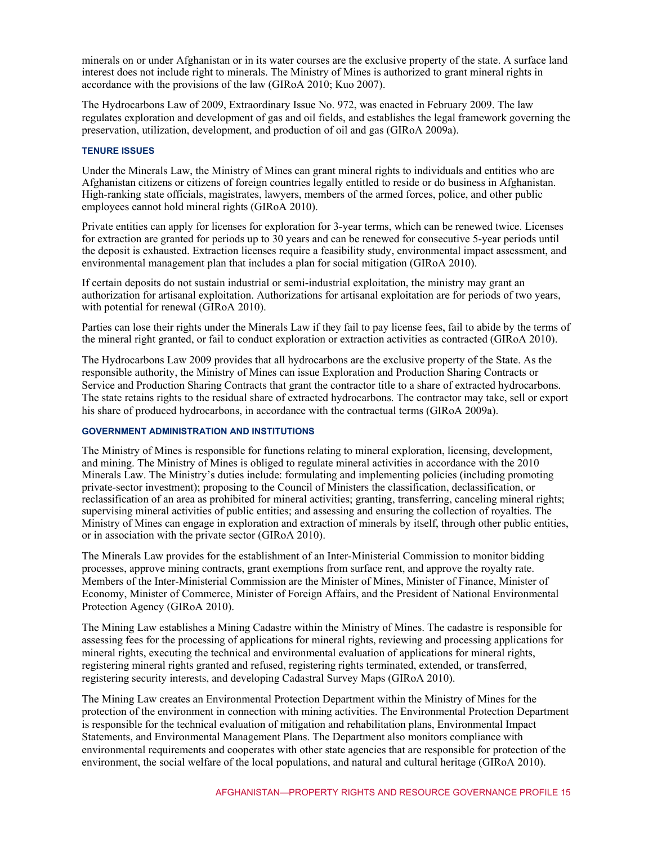minerals on or under Afghanistan or in its water courses are the exclusive property of the state. A surface land interest does not include right to minerals. The Ministry of Mines is authorized to grant mineral rights in accordance with the provisions of the law (GIRoA 2010; Kuo 2007).

The Hydrocarbons Law of 2009, Extraordinary Issue No. 972, was enacted in February 2009. The law regulates exploration and development of gas and oil fields, and establishes the legal framework governing the preservation, utilization, development, and production of oil and gas (GIRoA 2009a).

#### **TENURE ISSUES**

Under the Minerals Law, the Ministry of Mines can grant mineral rights to individuals and entities who are Afghanistan citizens or citizens of foreign countries legally entitled to reside or do business in Afghanistan. High-ranking state officials, magistrates, lawyers, members of the armed forces, police, and other public employees cannot hold mineral rights (GIRoA 2010).

Private entities can apply for licenses for exploration for 3-year terms, which can be renewed twice. Licenses for extraction are granted for periods up to 30 years and can be renewed for consecutive 5-year periods until the deposit is exhausted. Extraction licenses require a feasibility study, environmental impact assessment, and environmental management plan that includes a plan for social mitigation (GIRoA 2010).

If certain deposits do not sustain industrial or semi-industrial exploitation, the ministry may grant an authorization for artisanal exploitation. Authorizations for artisanal exploitation are for periods of two years, with potential for renewal (GIR<sub>O</sub>A 2010).

Parties can lose their rights under the Minerals Law if they fail to pay license fees, fail to abide by the terms of the mineral right granted, or fail to conduct exploration or extraction activities as contracted (GIRoA 2010).

The Hydrocarbons Law 2009 provides that all hydrocarbons are the exclusive property of the State. As the responsible authority, the Ministry of Mines can issue Exploration and Production Sharing Contracts or Service and Production Sharing Contracts that grant the contractor title to a share of extracted hydrocarbons. The state retains rights to the residual share of extracted hydrocarbons. The contractor may take, sell or export his share of produced hydrocarbons, in accordance with the contractual terms (GIRoA 2009a).

#### **GOVERNMENT ADMINISTRATION AND INSTITUTIONS**

The Ministry of Mines is responsible for functions relating to mineral exploration, licensing, development, and mining. The Ministry of Mines is obliged to regulate mineral activities in accordance with the 2010 Minerals Law. The Ministry's duties include: formulating and implementing policies (including promoting private-sector investment); proposing to the Council of Ministers the classification, declassification, or reclassification of an area as prohibited for mineral activities; granting, transferring, canceling mineral rights; supervising mineral activities of public entities; and assessing and ensuring the collection of royalties. The Ministry of Mines can engage in exploration and extraction of minerals by itself, through other public entities, or in association with the private sector (GIRoA 2010).

The Minerals Law provides for the establishment of an Inter-Ministerial Commission to monitor bidding processes, approve mining contracts, grant exemptions from surface rent, and approve the royalty rate. Members of the Inter-Ministerial Commission are the Minister of Mines, Minister of Finance, Minister of Economy, Minister of Commerce, Minister of Foreign Affairs, and the President of National Environmental Protection Agency (GIRoA 2010).

The Mining Law establishes a Mining Cadastre within the Ministry of Mines. The cadastre is responsible for assessing fees for the processing of applications for mineral rights, reviewing and processing applications for mineral rights, executing the technical and environmental evaluation of applications for mineral rights, registering mineral rights granted and refused, registering rights terminated, extended, or transferred, registering security interests, and developing Cadastral Survey Maps (GIRoA 2010).

The Mining Law creates an Environmental Protection Department within the Ministry of Mines for the protection of the environment in connection with mining activities. The Environmental Protection Department is responsible for the technical evaluation of mitigation and rehabilitation plans, Environmental Impact Statements, and Environmental Management Plans. The Department also monitors compliance with environmental requirements and cooperates with other state agencies that are responsible for protection of the environment, the social welfare of the local populations, and natural and cultural heritage (GIRoA 2010).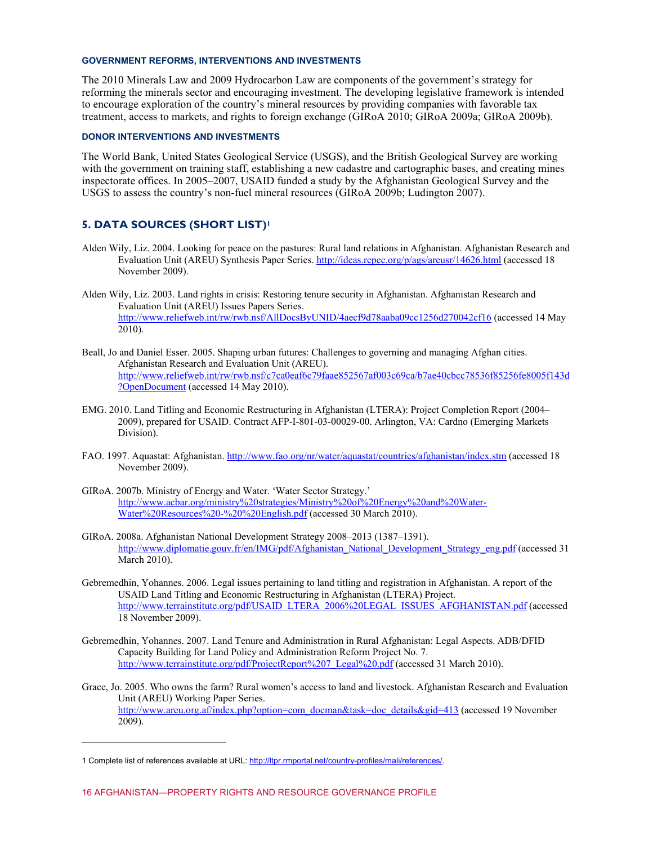#### **GOVERNMENT REFORMS, INTERVENTIONS AND INVESTMENTS**

The 2010 Minerals Law and 2009 Hydrocarbon Law are components of the government's strategy for reforming the minerals sector and encouraging investment. The developing legislative framework is intended to encourage exploration of the country's mineral resources by providing companies with favorable tax treatment, access to markets, and rights to foreign exchange (GIRoA 2010; GIRoA 2009a; GIRoA 2009b).

#### **DONOR INTERVENTIONS AND INVESTMENTS**

The World Bank, United States Geological Service (USGS), and the British Geological Survey are working with the government on training staff, establishing a new cadastre and cartographic bases, and creating mines inspectorate offices. In 2005–2007, USAID funded a study by the Afghanistan Geological Survey and the USGS to assess the country's non-fuel mineral resources (GIRoA 2009b; Ludington 2007).

# **5. DATA SOURCES (SHORT LIST)<sup>1</sup>**

- Alden Wily, Liz. 2004. Looking for peace on the pastures: Rural land relations in Afghanistan. Afghanistan Research and Evaluation Unit (AREU) Synthesis Paper Series.<http://ideas.repec.org/p/ags/areusr/14626.html>(accessed 18 November 2009).
- Alden Wily, Liz. 2003. Land rights in crisis: Restoring tenure security in Afghanistan. Afghanistan Research and Evaluation Unit (AREU) Issues Papers Series. [http://www.reliefweb.int/rw/rwb.nsf/AllDocsByUNID/4aecf9d78aaba09cc1256d270042cf16](http://www.releifweb.int/rw/rwb.nsf/AllDocsByUNID/4aecf9d78aaba09cc1256d270042cf16) (accessed 14 May 2010).
- Beall, Jo and Daniel Esser. 2005. Shaping urban futures: Challenges to governing and managing Afghan cities. Afghanistan Research and Evaluation Unit (AREU). [http://www.reliefweb.int/rw/rwb.nsf/c7ca0eaf6c79faae852567af003c69ca/b7ae40cbcc78536f85256fe8005f143d](http://www.reliefweb.int/rw/rwb.nsf/c7a0eaf6c79faae852567af003c69ca/b7ae40cbcc78536f85256fe8005f143d?OpenDocument) ?OpenDocument (accessed 14 May 2010).
- EMG. 2010. Land Titling and Economic Restructuring in Afghanistan (LTERA): Project Completion Report (2004– 2009), prepared for USAID. Contract AFP-I-801-03-00029-00. Arlington, VA: Cardno (Emerging Markets Division).
- FAO. 1997. Aquastat: Afghanistan[. http://www.fao.org/nr/water/aquastat/countries/afghanistan/index.stm \(](http://www.fao.org/nr/water/aquastat/countries/afghanistan/index.stm)accessed 18 November 2009).
- GIRoA. 2007b. Ministry of Energy and Water. 'Water Sector Strategy.' [http://www.acbar.org/ministry%20strategies/Ministry%20of%20Energy%20and%20Water-](http://www.acbar.org/ministry%20strategies/Ministry%20of%20Energy%20and%20Water-Water%20Resources%20-%20%20English.pdf)Water%20Resources%20-%20%20English.pdf (accessed 30 March 2010).
- GIRoA. 2008a. Afghanistan National Development Strategy 2008–2013 (1387–1391). [http://www.diplomatie.gouv.fr/en/IMG/pdf/Afghanistan\\_National\\_Development\\_Strategy\\_eng.pdf](http://www.diplomatie.gouv.fr/en/IMG/pdf/Afghamistan_National_Development_Strategy_eng.pdf) (accessed 31 March 2010).
- Gebremedhin, Yohannes. 2006. Legal issues pertaining to land titling and registration in Afghanistan. A report of the USAID Land Titling and Economic Restructuring in Afghanistan (LTERA) Project. [http://www.terrainstitute.org/pdf/USAID\\_LTERA\\_2006%20LEGAL\\_ISSUES\\_AFGHANISTAN.pdf \(](http://www.terrainstitute.org/pdf/USAID_LTERA_2006%20LEGAL_ISSUES_AFGHANISTAN.pdf)accessed 18 November 2009).
- Gebremedhin, Yohannes. 2007. Land Tenure and Administration in Rural Afghanistan: Legal Aspects. ADB/DFID Capacity Building for Land Policy and Administration Reform Project No. 7. [http://www.terrainstitute.org/pdf/ProjectReport%207\\_Legal%20.pdf \(](http://terrainstitute.org/pdf/ProjectReport%207_Legal%20.pdf)accessed 31 March 2010).
- Grace, Jo. 2005. Who owns the farm? Rural women's access to land and livestock. Afghanistan Research and Evaluation Unit (AREU) Working Paper Series. [http://www.areu.org.af/index.php?option=com\\_docman&task=doc\\_details&gid=413](http://www.areu.org.af/index.php?option=com_docman&task=doc_details&gid=413) (accessed 19 November 2009).

 $\overline{a}$ 

<sup>1</sup> Complete list of references available at URL: http://ltpr.rmportal.net/country-profiles/mali/references/.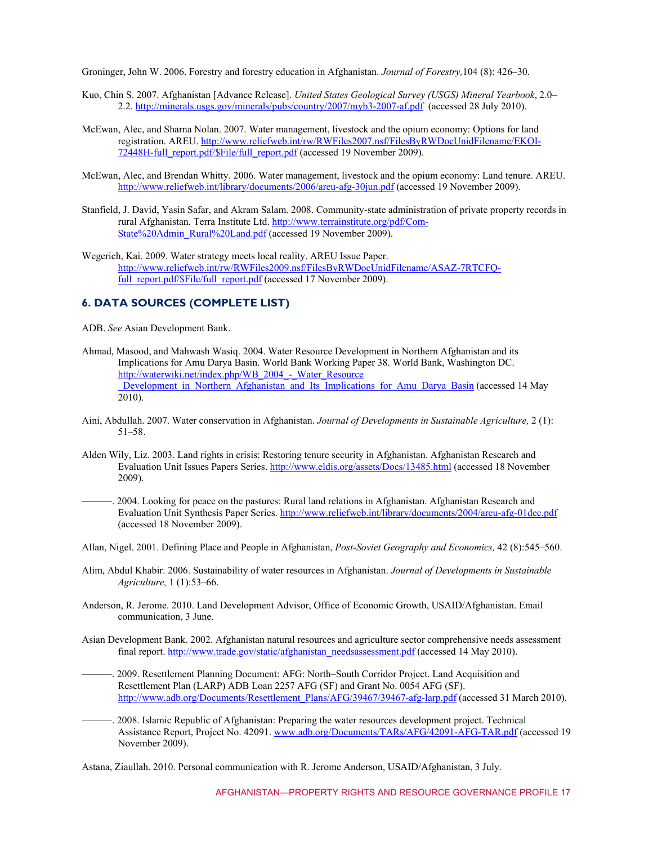Groninger, John W. 2006. Forestry and forestry education in Afghanistan. *Journal of Forestry,*104 (8): 426–30.

- Kuo, Chin S. 2007. Afghanistan [Advance Release]. *United States Geological Survey (USGS) Mineral Yearbook*, 2.0– 2.2. http://minerals.usgs.gov/minerals/pubs/country/2007/myb3-2007-af.pdf (accessed 28 July 2010).
- McEwan, Alec, and Sharna Nolan. 2007. Water management, livestock and the opium economy: Options for land registration. AREU. http://www.reliefweb.int/rw/RWFiles2007.nsf/FilesByRWDocUnidFilename/EKOI-72448H-full\_report.pdf/\$File/full\_report.pdf (accessed 19 November 2009).
- McEwan, Alec, and Brendan Whitty. 2006. Water management, livestock and the opium economy: Land tenure. AREU. http://www.reliefweb.int/library/documents/2006/areu-afg-30jun.pdf (accessed 19 November 2009).
- Stanfield, J. David, Yasin Safar, and Akram Salam. 2008. Community-state administration of private property records in [rural Afghanistan. Terra Institute Ltd. http://www.terrainstitute.org/pdf/Com-](http://www.terrainstitute.org/pdf/Com-State%20Admin_Rural%20Land.pdf)State%20Admin\_Rural%20Land.pdf (accessed 19 November 2009).
- Wegerich, Kai. 2009. Water strategy meets local reality. AREU Issue Paper. [http://www.reliefweb.int/rw/RWFiles2009.nsf/FilesByRWDocUnidFilename/ASAZ-7RTCFQ](http://www.reliefweb.int/rw/RWFiles2009.nsf/FilesByRWDocUnidFilename/ASAZ-7RTCFQ-full_report.pdf.$File/full_report.pdf)full\_report.pdf/\$File/full\_report.pdf (accessed 17 November 2009).

# **6. DATA SOURCES (COMPLETE LIST)**

ADB. *See* Asian Development Bank.

- Ahmad, Masood, and Mahwash Wasiq. 2004. Water Resource Development in Northern Afghanistan and its Implications for Amu Darya Basin. World Bank Working Paper 38. World Bank, Washington DC. http://waterwiki.net/index.php/WB\_2004\_-\_Water\_Resource Development in Northern Afghanistan and Its Implications for Amu Darya Basin (accessed 14 May 2010).
- Aini, Abdullah. 2007. Water conservation in Afghanistan. *Journal of Developments in Sustainable Agriculture,* 2 (1): 51–58.
- Alden Wily, Liz. 2003. Land rights in crisis: Restoring tenure security in Afghanistan. Afghanistan Research and Evaluation Unit Issues Papers Series.<http://www.eldis.org/assets/Docs/13485.html>(accessed 18 November 2009).
- ———. 2004. Looking for peace on the pastures: Rural land relations in Afghanistan. Afghanistan Research and Evaluation Unit Synthesis Paper Series[. http://www.reliefweb.int/library/documents/2004/areu-afg-01dec.pdf](http://www.reliefweb.int/library/documents/2004/areu-afg-01dec.pdf) (accessed 18 November 2009).
- Allan, Nigel. 2001. Defining Place and People in Afghanistan, *Post-Soviet Geography and Economics,* 42 (8):545–560.
- Alim, Abdul Khabir. 2006. Sustainability of water resources in Afghanistan. *Journal of Developments in Sustainable Agriculture,* 1 (1):53–66.
- Anderson, R. Jerome. 2010. Land Development Advisor, Office of Economic Growth, USAID/Afghanistan. Email communication, 3 June.
- Asian Development Bank. 2002. Afghanistan natural resources and agriculture sector comprehensive needs assessment final report. [http://www.trade.gov/static/afghanistan\\_needsassessment.pdf](http://www.trade.gov/static/afghanistan_needsassessment.pdf) (accessed 14 May 2010).
- ———. 2009. Resettlement Planning Document: AFG: North–South Corridor Project. Land Acquisition and Resettlement Plan (LARP) ADB Loan 2257 AFG (SF) and Grant No. 0054 AFG (SF). [http://www.adb.org/Documents/Resettlement\\_Plans/AFG/39467/39467-afg-larp.pdf \(](http://www.adb.org/Documents/Resettlement_Plans/AFG/39467/39467-afg)accessed 31 March 2010).
- ———. 2008. Islamic Republic of Afghanistan: Preparing the water resources development project. Technical Assistance Report, Project No. 42091. [www.adb.org/Documents/TARs/AFG/42091-AFG-TAR.pdf](http://www.adb.org/Documents/TARs/42091-AFG-TAR.pdf) (accessed 19 November 2009).

Astana, Ziaullah. 2010. Personal communication with R. Jerome Anderson, USAID/Afghanistan, 3 July.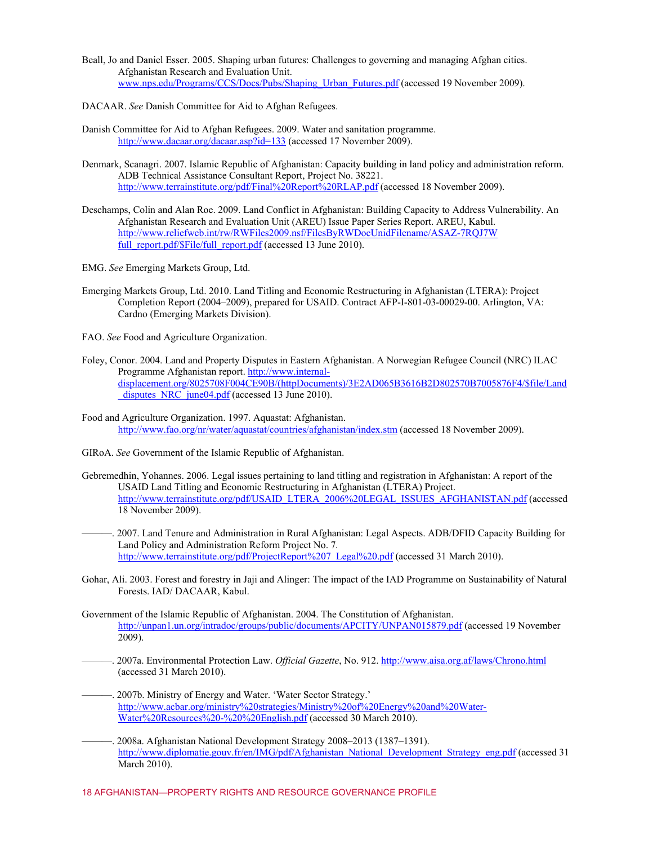- Beall, Jo and Daniel Esser. 2005. Shaping urban futures: Challenges to governing and managing Afghan cities. Afghanistan Research and Evaluation Unit. www.nps.edu/Programs/CCS/Docs/Pubs/Shaping\_Urban\_Futures.pdf (accessed 19 November 2009).
- DACAAR. *See* Danish Committee for Aid to Afghan Refugees.
- Danish Committee for Aid to Afghan Refugees. 2009. Water and sanitation programme. http://www.dacaar.org/dacaar.asp?id=133 (accessed 17 November 2009).
- Denmark, Scanagri. 2007. Islamic Republic of Afghanistan: Capacity building in land policy and administration reform. ADB Technical Assistance Consultant Report, Project No. 38221. http://www.terrainstitute.org/pdf/Final%20Report%20RLAP.pdf (accessed 18 November 2009).
- Deschamps, Colin and Alan Roe. 2009. Land Conflict in Afghanistan: Building Capacity to Address Vulnerability. An Afghanistan Research and Evaluation Unit (AREU) Issue Paper Series Report. AREU, Kabul. http://www.reliefweb.int/rw/RWFiles2009.nsf/FilesByRWDocUnidFilename/ASAZ-7RQJ7W full\_report.pdf/\$File/full\_report.pdf (accessed 13 June 2010).
- EMG. *See* Emerging Markets Group, Ltd.
- Emerging Markets Group, Ltd. 2010. Land Titling and Economic Restructuring in Afghanistan (LTERA): Project Completion Report (2004–2009), prepared for USAID. Contract AFP-I-801-03-00029-00. Arlington, VA: Cardno (Emerging Markets Division).

FAO. *See* Food and Agriculture Organization.

- Foley, Conor. 2004. Land and Property Disputes in Eastern Afghanistan. A Norwegian Refugee Council (NRC) ILAC Programme Afghanistan report. http://www.internaldisplacement.org/8025708F004CE90B/(httpDocuments)/3E2AD065B3616B2D802570B7005876F4/\$file/Land disputes NRC june04.pdf (accessed 13 June 2010).
- Food and Agriculture Organization. 1997. Aquastat: Afghanistan. http://www.fao.org/nr/water/aquastat/countries/afghanistan/index.stm (accessed 18 November 2009).
- GIRoA. *See* Government of the Islamic Republic of Afghanistan.
- Gebremedhin, Yohannes. 2006. Legal issues pertaining to land titling and registration in Afghanistan: A report of the USAID Land Titling and Economic Restructuring in Afghanistan (LTERA) Project. http://www.terrainstitute.org/pdf/USAID\_LTERA\_2006%20LEGAL\_ISSUES\_AFGHANISTAN.pdf (accessed 18 November 2009).
- ———. 2007. Land Tenure and Administration in Rural Afghanistan: Legal Aspects. ADB/DFID Capacity Building for Land Policy and Administration Reform Project No. 7*.*  http://www.terrainstitute.org/pdf/ProjectReport%207\_Legal%20.pdf (accessed 31 March 2010).
- Gohar, Ali. 2003. Forest and forestry in Jaji and Alinger: The impact of the IAD Programme on Sustainability of Natural Forests. IAD/ DACAAR, Kabul.
- Government of the Islamic Republic of Afghanistan. 2004. The Constitution of Afghanistan. http://unpan1.un.org/intradoc/groups/public/documents/APCITY/UNPAN015879.pdf (accessed 19 November 2009).
- ———. 2007a. Environmental Protection Law. *Official Gazette*, No. 912. http://www.aisa.org.af/laws/Chrono.html (accessed 31 March 2010).
- -. 2007b. Ministry of Energy and Water. 'Water Sector Strategy.' http://www.acbar.org/ministry%20strategies/Ministry%20of%20Energy%20and%20Water-Water%20Resources%20-%20%20English.pdf (accessed 30 March 2010).
- ———. 2008a. Afghanistan National Development Strategy 2008–2013 (1387–1391). http://www.diplomatie.gouv.fr/en/IMG/pdf/Afghanistan\_National\_Development\_Strategy\_eng.pdf (accessed 31 March 2010).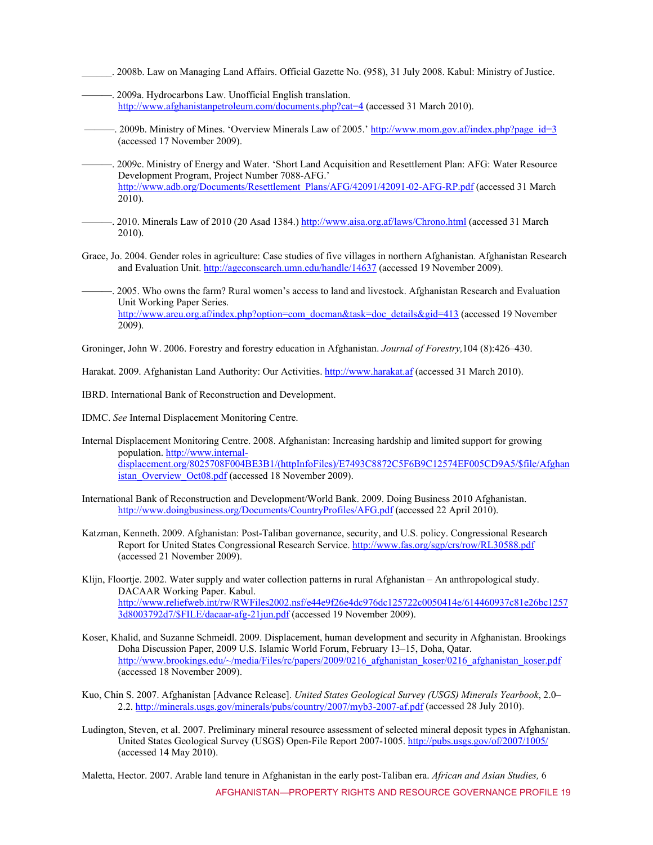- \_\_\_\_\_\_. 2008b. Law on Managing Land Affairs. Official Gazette No. (958), 31 July 2008. Kabul: Ministry of Justice.
- ———. 2009a. Hydrocarbons Law. Unofficial English translation. http://www.afghanistanpetroleum.com/documents.php?cat=4 (accessed 31 March 2010).
- —–. 2009b. Ministry of Mines. 'Overview Minerals Law of 2005.' http://www.mom.gov.af/index.php?page\_id=3 (accessed 17 November 2009).
- -. 2009c. Ministry of Energy and Water. 'Short Land Acquisition and Resettlement Plan: AFG: Water Resource Development Program, Project Number 7088-AFG.' http://www.adb.org/Documents/Resettlement\_Plans/AFG/42091/42091-02-AFG-RP.pdf (accessed 31 March 2010).
- —. 2010. Minerals Law of 2010 (20 Asad 1384.) http://www.aisa.org.af/laws/Chrono.html (accessed 31 March 2010).
- Grace, Jo. 2004. Gender roles in agriculture: Case studies of five villages in northern Afghanistan. Afghanistan Research and Evaluation Unit. http://ageconsearch.umn.edu/handle/14637 (accessed 19 November 2009).
- ———. 2005. Who owns the farm? Rural women's access to land and livestock. Afghanistan Research and Evaluation Unit Working Paper Series. http://www.areu.org.af/index.php?option=com\_docman&task=doc\_details&gid=413 (accessed 19 November 2009).

Groninger, John W. 2006. Forestry and forestry education in Afghanistan. *Journal of Forestry,*104 (8):426–430.

Harakat. 2009. Afghanistan Land Authority: Our Activities. http://www.harakat.af (accessed 31 March 2010).

IBRD. International Bank of Reconstruction and Development.

IDMC. *See* Internal Displacement Monitoring Centre.

- Internal Displacement Monitoring Centre. 2008. Afghanistan: Increasing hardship and limited support for growing population. http://www.internaldisplacement.org/8025708F004BE3B1/(httpInfoFiles)/E7493C8872C5F6B9C12574EF005CD9A5/\$file/Afghan istan\_Overview\_Oct08.pdf (accessed 18 November 2009).
- International Bank of Reconstruction and Development/World Bank. 2009. Doing Business 2010 Afghanistan. http://www.doingbusiness.org/Documents/CountryProfiles/AFG.pdf (accessed 22 April 2010).
- Katzman, Kenneth. 2009. Afghanistan: Post-Taliban governance, security, and U.S. policy. Congressional Research Report for United States Congressional Research Service. http://www.fas.org/sgp/crs/row/RL30588.pdf (accessed 21 November 2009).
- Klijn, Floortje. 2002. Water supply and water collection patterns in rural Afghanistan An anthropological study. DACAAR Working Paper. Kabul. http://www.reliefweb.int/rw/RWFiles2002.nsf/e44e9f26e4dc976dc125722c0050414e/614460937c81e26bc1257 3d8003792d7/\$FILE/dacaar-afg-21jun.pdf (accessed 19 November 2009).
- Koser, Khalid, and Suzanne Schmeidl. 2009. Displacement, human development and security in Afghanistan. Brookings Doha Discussion Paper, 2009 U.S. Islamic World Forum, February 13–15, Doha, Qatar. http://www.brookings.edu/~/media/Files/rc/papers/2009/0216\_afghanistan\_koser/0216\_afghanistan\_koser.pdf (accessed 18 November 2009).
- Kuo, Chin S. 2007. Afghanistan [Advance Release]. *United States Geological Survey (USGS) Minerals Yearbook*, 2.0– 2.2. http://minerals.usgs.gov/minerals/pubs/country/2007/myb3-2007-af.pdf (accessed 28 July 2010).
- Ludington, Steven, et al. 2007. Preliminary mineral resource assessment of selected mineral deposit types in Afghanistan. United States Geological Survey (USGS) Open-File Report 2007-1005. http://pubs.usgs.gov/of/2007/1005/ (accessed 14 May 2010).

AFGHANISTAN—PROPERTY RIGHTS AND RESOURCE GOVERNANCE PROFILE 19 Maletta, Hector. 2007. Arable land tenure in Afghanistan in the early post-Taliban era. *African and Asian Studies,* 6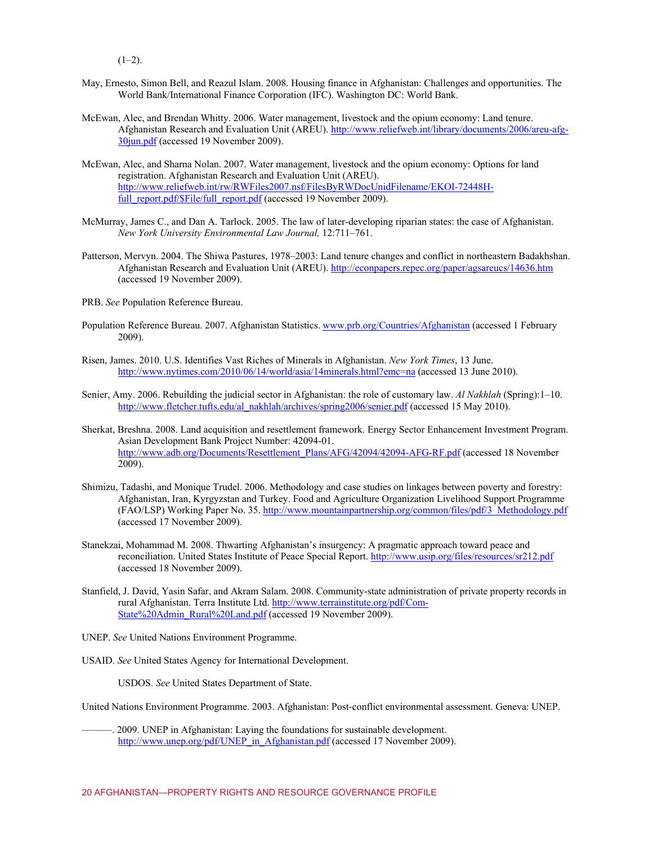$(1-2)$ .

- May, Ernesto, Simon Bell, and Reazul Islam. 2008. Housing finance in Afghanistan: Challenges and opportunities. The World Bank/International Finance Corporation (IFC). Washington DC: World Bank.
- McEwan, Alec, and Brendan Whitty. 2006. Water management, livestock and the opium economy: Land tenure. Afghanistan Research and Evaluation Unit (AREU). http://www.reliefweb.int/library/documents/2006/areu-afg-30jun.pdf (accessed 19 November 2009).
- McEwan, Alec, and Sharna Nolan. 2007. Water management, livestock and the opium economy: Options for land registration. Afghanistan Research and Evaluation Unit (AREU). http://www.reliefweb.int/rw/RWFiles2007.nsf/FilesByRWDocUnidFilename/EKOI-72448Hfull\_report.pdf/\$File/full\_report.pdf (accessed 19 November 2009).
- McMurray, James C., and Dan A. Tarlock. 2005. The law of later-developing riparian states: the case of Afghanistan. *New York University Environmental Law Journal,* 12:711–761.
- Patterson, Mervyn. 2004. The Shiwa Pastures, 1978–2003: Land tenure changes and conflict in northeastern Badakhshan. Afghanistan Research and Evaluation Unit (AREU). http://econpapers.repec.org/paper/agsareucs/14636.htm (accessed 19 November 2009).
- PRB. *See* Population Reference Bureau.
- Population Reference Bureau. 2007. Afghanistan Statistics. www.prb.org/Countries/Afghanistan (accessed 1 February 2009).
- Risen, James. 2010. U.S. Identifies Vast Riches of Minerals in Afghanistan. *New York Times*, 13 June. http://www.nytimes.com/2010/06/14/world/asia/14minerals.html?emc=na (accessed 13 June 2010).
- Senier, Amy. 2006. Rebuilding the judicial sector in Afghanistan: the role of customary law. *Al Nakhlah* (Spring):1–10. http://www.fletcher.tufts.edu/al\_nakhlah/archives/spring2006/senier.pdf (accessed 15 May 2010).
- Sherkat, Breshna. 2008. Land acquisition and resettlement framework. Energy Sector Enhancement Investment Program. Asian Development Bank Project Number: 42094-01. http://www.adb.org/Documents/Resettlement\_Plans/AFG/42094/42094-AFG-RF.pdf (accessed 18 November 2009).
- Shimizu, Tadashi, and Monique Trudel. 2006. Methodology and case studies on linkages between poverty and forestry: Afghanistan, Iran, Kyrgyzstan and Turkey. Food and Agriculture Organization Livelihood Support Programme (FAO/LSP) Working Paper No. 35. http://www.mountainpartnership.org/common/files/pdf/3\_Methodology.pdf (accessed 17 November 2009).
- Stanekzai, Mohammad M. 2008. Thwarting Afghanistan's insurgency: A pragmatic approach toward peace and reconciliation. United States Institute of Peace Special Report. http://www.usip.org/files/resources/sr212.pdf (accessed 18 November 2009).
- Stanfield, J. David, Yasin Safar, and Akram Salam. 2008. Community-state administration of private property records in rural Afghanistan. Terra Institute Ltd. http://www.terrainstitute.org/pdf/Com-State%20Admin\_Rural%20Land.pdf (accessed 19 November 2009).
- UNEP. *See* United Nations Environment Programme.
- USAID. *See* United States Agency for International Development.

USDOS. *See* United States Department of State.

United Nations Environment Programme. 2003. Afghanistan: Post-conflict environmental assessment. Geneva: UNEP.

———. 2009. UNEP in Afghanistan: Laying the foundations for sustainable development. http://www.unep.org/pdf/UNEP\_in\_Afghanistan.pdf (accessed 17 November 2009).